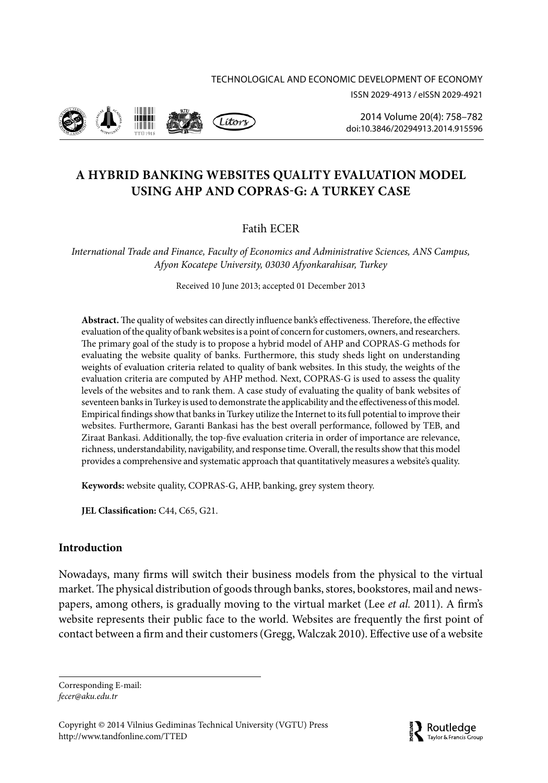



2014 Volume 20(4): 758–782 [doi:10.3846/20294913.2014.915596](http://dx.doi.org/10.3846/20294913.2014.915596)

# **A HYBRID BANKING WEBSITES QUALITY EVALUATION MODEL USING AHP AND COPRAS-G: A TURKEY CASE**

# Fatih ECER

*International Trade and Finance, Faculty of Economics and Administrative Sciences, ANS Campus, Afyon Kocatepe University, 03030 Afyonkarahisar, Turkey*

Received 10 June 2013; accepted 01 December 2013

**Abstract.** The quality of websites can directly influence bank's effectiveness. Therefore, the effective evaluation of the quality of bank websites is a point of concern for customers, owners, and researchers. The primary goal of the study is to propose a hybrid model of AHP and COPRAS-G methods for evaluating the website quality of banks. Furthermore, this study sheds light on understanding weights of evaluation criteria related to quality of bank websites. In this study, the weights of the evaluation criteria are computed by AHP method. Next, COPRAS-G is used to assess the quality levels of the websites and to rank them. A case study of evaluating the quality of bank websites of seventeen banks in Turkey is used to demonstrate the applicability and the effectiveness of this model. Empirical findings show that banks in Turkey utilize the Internet to its full potential to improve their websites. Furthermore, Garanti Bankasi has the best overall performance, followed by TEB, and Ziraat Bankasi. Additionally, the top-five evaluation criteria in order of importance are relevance, richness, understandability, navigability, and response time. Overall, the results show that this model provides a comprehensive and systematic approach that quantitatively measures a website's quality.

**Keywords:** website quality, COPRAS-G, AHP, banking, grey system theory.

**JEL Classification:** C44, C65, G21.

### **Introduction**

Nowadays, many firms will switch their business models from the physical to the virtual market. The physical distribution of goods through banks, stores, bookstores, mail and newspapers, among others, is gradually moving to the virtual market (Lee *et al.* 2011). A firm's website represents their public face to the world. Websites are frequently the first point of contact between a firm and their customers (Gregg, Walczak 2010). Effective use of a website

Corresponding E-mail: *fecer@aku.edu.tr*

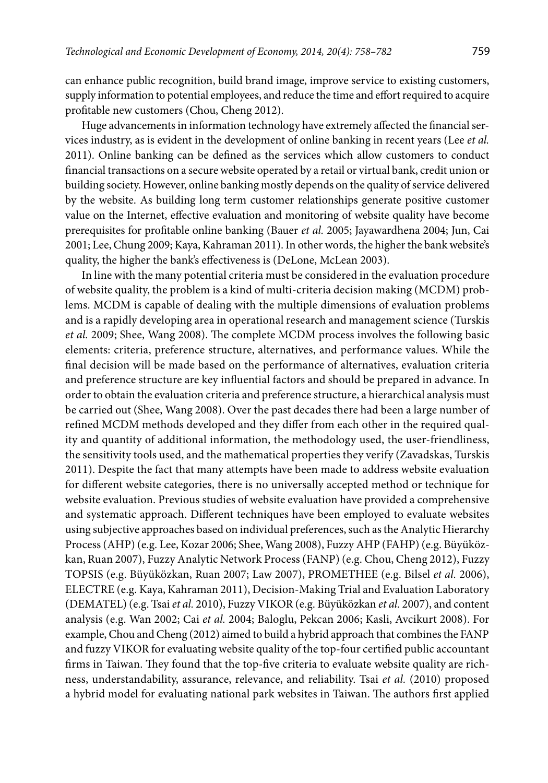can enhance public recognition, build brand image, improve service to existing customers, supply information to potential employees, and reduce the time and effort required to acquire profitable new customers (Chou, Cheng 2012).

Huge advancements in information technology have extremely affected the financial services industry, as is evident in the development of online banking in recent years (Lee *et al.* 2011). Online banking can be defined as the services which allow customers to conduct financial transactions on a secure website operated by a retail or virtual bank, credit union or building society. However, online banking mostly depends on the quality of service delivered by the website. As building long term customer relationships generate positive customer value on the Internet, effective evaluation and monitoring of website quality have become prerequisites for profitable online banking (Bauer *et al.* 2005; Jayawardhena 2004; Jun, Cai 2001; Lee, Chung 2009; Kaya, Kahraman 2011). In other words, the higher the bank website's quality, the higher the bank's effectiveness is (DeLone, McLean 2003).

In line with the many potential criteria must be considered in the evaluation procedure of website quality, the problem is a kind of multi-criteria decision making (MCDM) problems. MCDM is capable of dealing with the multiple dimensions of evaluation problems and is a rapidly developing area in operational research and management science (Turskis *et al.* 2009; Shee, Wang 2008). The complete MCDM process involves the following basic elements: criteria, preference structure, alternatives, and performance values. While the final decision will be made based on the performance of alternatives, evaluation criteria and preference structure are key influential factors and should be prepared in advance. In order to obtain the evaluation criteria and preference structure, a hierarchical analysis must be carried out (Shee, Wang 2008). Over the past decades there had been a large number of refined MCDM methods developed and they differ from each other in the required quality and quantity of additional information, the methodology used, the user-friendliness, the sensitivity tools used, and the mathematical properties they verify (Zavadskas, Turskis 2011). Despite the fact that many attempts have been made to address website evaluation for different website categories, there is no universally accepted method or technique for website evaluation. Previous studies of website evaluation have provided a comprehensive and systematic approach. Different techniques have been employed to evaluate websites using subjective approaches based on individual preferences, such as the Analytic Hierarchy Process (AHP) (e.g. Lee, Kozar 2006; Shee, Wang 2008), Fuzzy AHP (FAHP) (e.g. Büyüközkan, Ruan 2007), Fuzzy Analytic Network Process (FANP) (e.g. Chou, Cheng 2012), Fuzzy TOPSIS (e.g. Büyüközkan, Ruan 2007; Law 2007), PROMETHEE (e.g. Bilsel *et al.* 2006), ELECTRE (e.g. Kaya, Kahraman 2011), Decision-Making Trial and Evaluation Laboratory (DEMATEL) (e.g. Tsai *et al.* 2010), Fuzzy VIKOR (e.g. Büyüközkan *et al.* 2007), and content analysis (e.g. Wan 2002; Cai *et al.* 2004; Baloglu, Pekcan 2006; Kasli, Avcikurt 2008). For example, Chou and Cheng (2012) aimed to build a hybrid approach that combines the FANP and fuzzy VIKOR for evaluating website quality of the top-four certified public accountant firms in Taiwan. They found that the top-five criteria to evaluate website quality are richness, understandability, assurance, relevance, and reliability. Tsai *et al.* (2010) proposed a hybrid model for evaluating national park websites in Taiwan. The authors first applied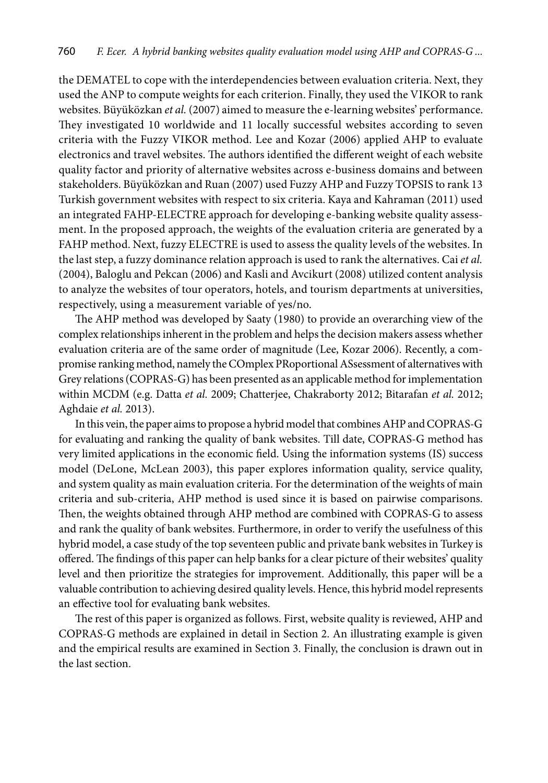the DEMATEL to cope with the interdependencies between evaluation criteria. Next, they used the ANP to compute weights for each criterion. Finally, they used the VIKOR to rank websites. Büyüközkan *et al.* (2007) aimed to measure the e-learning websites' performance. They investigated 10 worldwide and 11 locally successful websites according to seven criteria with the Fuzzy VIKOR method. Lee and Kozar (2006) applied AHP to evaluate electronics and travel websites. The authors identified the different weight of each website quality factor and priority of alternative websites across e-business domains and between stakeholders. Büyüközkan and Ruan (2007) used Fuzzy AHP and Fuzzy TOPSIS to rank 13 Turkish government websites with respect to six criteria. Kaya and Kahraman (2011) used an integrated FAHP-ELECTRE approach for developing e-banking website quality assessment. In the proposed approach, the weights of the evaluation criteria are generated by a FAHP method. Next, fuzzy ELECTRE is used to assess the quality levels of the websites. In the last step, a fuzzy dominance relation approach is used to rank the alternatives. Cai *et al.* (2004), Baloglu and Pekcan (2006) and Kasli and Avcikurt (2008) utilized content analysis to analyze the websites of tour operators, hotels, and tourism departments at universities, respectively, using a measurement variable of yes/no.

The AHP method was developed by Saaty (1980) to provide an overarching view of the complex relationships inherent in the problem and helps the decision makers assess whether evaluation criteria are of the same order of magnitude (Lee, Kozar 2006). Recently, a compromise ranking method, namely the COmplex PRoportional ASsessment of alternatives with Grey relations (COPRAS-G) has been presented as an applicable method for implementation within MCDM (e.g. Datta *et al.* 2009; Chatterjee, Chakraborty 2012; Bitarafan *et al.* 2012; Aghdaie *et al.* 2013).

In this vein, the paper aims to propose a hybrid model that combines AHP and COPRAS-G for evaluating and ranking the quality of bank websites. Till date, COPRAS-G method has very limited applications in the economic field. Using the information systems (IS) success model (DeLone, McLean 2003), this paper explores information quality, service quality, and system quality as main evaluation criteria. For the determination of the weights of main criteria and sub-criteria, AHP method is used since it is based on pairwise comparisons. Then, the weights obtained through AHP method are combined with COPRAS-G to assess and rank the quality of bank websites. Furthermore, in order to verify the usefulness of this hybrid model, a case study of the top seventeen public and private bank websites in Turkey is offered. The findings of this paper can help banks for a clear picture of their websites' quality level and then prioritize the strategies for improvement. Additionally, this paper will be a valuable contribution to achieving desired quality levels. Hence, this hybrid model represents an effective tool for evaluating bank websites.

The rest of this paper is organized as follows. First, website quality is reviewed, AHP and COPRAS-G methods are explained in detail in Section 2. An illustrating example is given and the empirical results are examined in Section 3. Finally, the conclusion is drawn out in the last section.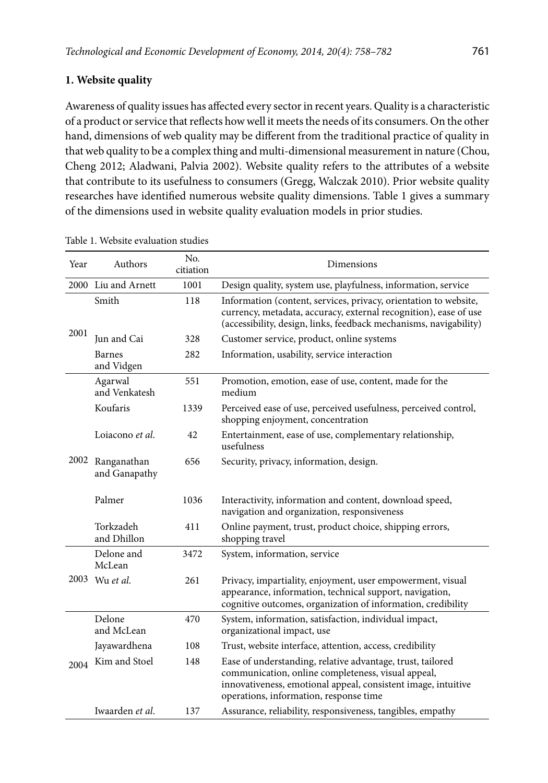## **1. Website quality**

Awareness of quality issues has affected every sector in recent years. Quality is a characteristic of a product or service that reflects how well it meets the needs of its consumers. On the other hand, dimensions of web quality may be different from the traditional practice of quality in that web quality to be a complex thing and multi-dimensional measurement in nature (Chou, Cheng 2012; Aladwani, Palvia 2002). Website quality refers to the attributes of a website that contribute to its usefulness to consumers (Gregg, Walczak 2010). Prior website quality researches have identified numerous website quality dimensions. Table 1 gives a summary of the dimensions used in website quality evaluation models in prior studies.

| Year | Authors                      | No.<br>citiation | Dimensions                                                                                                                                                                                                                  |
|------|------------------------------|------------------|-----------------------------------------------------------------------------------------------------------------------------------------------------------------------------------------------------------------------------|
|      | 2000 Liu and Arnett          | 1001             | Design quality, system use, playfulness, information, service                                                                                                                                                               |
|      | Smith                        | 118              | Information (content, services, privacy, orientation to website,<br>currency, metadata, accuracy, external recognition), ease of use<br>(accessibility, design, links, feedback mechanisms, navigability)                   |
| 2001 | Jun and Cai                  | 328              | Customer service, product, online systems                                                                                                                                                                                   |
|      | <b>Barnes</b><br>and Vidgen  | 282              | Information, usability, service interaction                                                                                                                                                                                 |
|      | Agarwal<br>and Venkatesh     | 551              | Promotion, emotion, ease of use, content, made for the<br>medium                                                                                                                                                            |
|      | Koufaris                     | 1339             | Perceived ease of use, perceived usefulness, perceived control,<br>shopping enjoyment, concentration                                                                                                                        |
|      | Loiacono et al.              | 42               | Entertainment, ease of use, complementary relationship,<br>usefulness                                                                                                                                                       |
| 2002 | Ranganathan<br>and Ganapathy | 656              | Security, privacy, information, design.                                                                                                                                                                                     |
|      | Palmer                       | 1036             | Interactivity, information and content, download speed,<br>navigation and organization, responsiveness                                                                                                                      |
|      | Torkzadeh<br>and Dhillon     | 411              | Online payment, trust, product choice, shipping errors,<br>shopping travel                                                                                                                                                  |
|      | Delone and<br>McLean         | 3472             | System, information, service                                                                                                                                                                                                |
|      | 2003 Wu et al.               | 261              | Privacy, impartiality, enjoyment, user empowerment, visual<br>appearance, information, technical support, navigation,<br>cognitive outcomes, organization of information, credibility                                       |
|      | Delone<br>and McLean         | 470              | System, information, satisfaction, individual impact,<br>organizational impact, use                                                                                                                                         |
|      | Jayawardhena                 | 108              | Trust, website interface, attention, access, credibility                                                                                                                                                                    |
| 2004 | Kim and Stoel                | 148              | Ease of understanding, relative advantage, trust, tailored<br>communication, online completeness, visual appeal,<br>innovativeness, emotional appeal, consistent image, intuitive<br>operations, information, response time |
|      | Iwaarden et al.              | 137              | Assurance, reliability, responsiveness, tangibles, empathy                                                                                                                                                                  |

Table 1. Website evaluation studies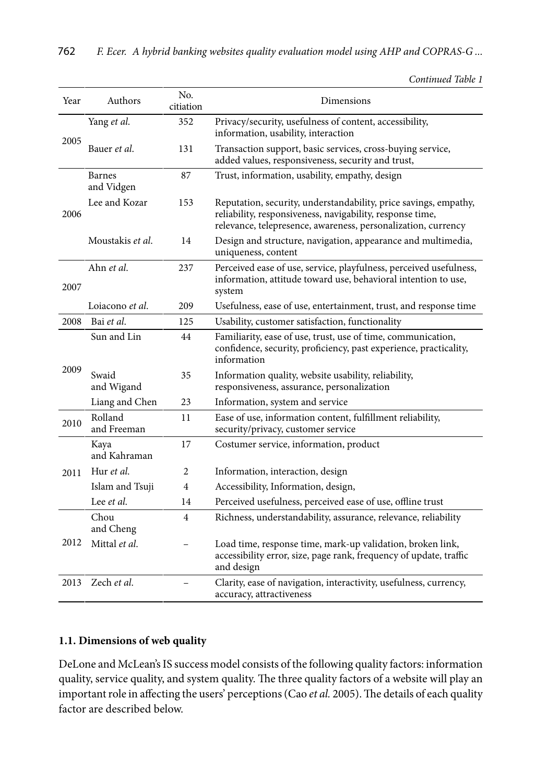| Continued Table 1 |  |  |
|-------------------|--|--|
|-------------------|--|--|

| Year | Authors                     | No.<br>citiation | Dimensions                                                                                                                                                                                     |  |
|------|-----------------------------|------------------|------------------------------------------------------------------------------------------------------------------------------------------------------------------------------------------------|--|
| 2005 | Yang et al.                 | 352              | Privacy/security, usefulness of content, accessibility,<br>information, usability, interaction                                                                                                 |  |
|      | Bauer et al.                | 131              | Transaction support, basic services, cross-buying service,<br>added values, responsiveness, security and trust,                                                                                |  |
|      | <b>Barnes</b><br>and Vidgen | 87               | Trust, information, usability, empathy, design                                                                                                                                                 |  |
| 2006 | Lee and Kozar               | 153              | Reputation, security, understandability, price savings, empathy,<br>reliability, responsiveness, navigability, response time,<br>relevance, telepresence, awareness, personalization, currency |  |
|      | Moustakis et al.            | 14               | Design and structure, navigation, appearance and multimedia,<br>uniqueness, content                                                                                                            |  |
| 2007 | Ahn et al.                  | 237              | Perceived ease of use, service, playfulness, perceived usefulness,<br>information, attitude toward use, behavioral intention to use,<br>system                                                 |  |
|      | Loiacono et al.             | 209              | Usefulness, ease of use, entertainment, trust, and response time                                                                                                                               |  |
| 2008 | Bai et al.                  | 125              | Usability, customer satisfaction, functionality                                                                                                                                                |  |
|      | Sun and Lin                 | 44               | Familiarity, ease of use, trust, use of time, communication,<br>confidence, security, proficiency, past experience, practicality,<br>information                                               |  |
| 2009 | Swaid<br>and Wigand         | 35               | Information quality, website usability, reliability,<br>responsiveness, assurance, personalization                                                                                             |  |
|      | Liang and Chen              | 23               | Information, system and service                                                                                                                                                                |  |
| 2010 | Rolland<br>and Freeman      | 11               | Ease of use, information content, fulfillment reliability,<br>security/privacy, customer service                                                                                               |  |
|      | Kaya<br>and Kahraman        | 17               | Costumer service, information, product                                                                                                                                                         |  |
| 2011 | Hur et al.                  | 2                | Information, interaction, design                                                                                                                                                               |  |
|      | Islam and Tsuji             | 4                | Accessibility, Information, design,                                                                                                                                                            |  |
|      | Lee et al.                  | 14               | Perceived usefulness, perceived ease of use, offline trust                                                                                                                                     |  |
|      | Chou<br>and Cheng           | $\overline{4}$   | Richness, understandability, assurance, relevance, reliability                                                                                                                                 |  |
| 2012 | Mittal et al.               |                  | Load time, response time, mark-up validation, broken link,<br>accessibility error, size, page rank, frequency of update, traffic<br>and design                                                 |  |
| 2013 | Zech et al.                 |                  | Clarity, ease of navigation, interactivity, usefulness, currency,<br>accuracy, attractiveness                                                                                                  |  |

# **1.1. Dimensions of web quality**

DeLone and McLean's IS success model consists of the following quality factors: information quality, service quality, and system quality. The three quality factors of a website will play an important role in affecting the users' perceptions (Cao *et al.* 2005). The details of each quality factor are described below.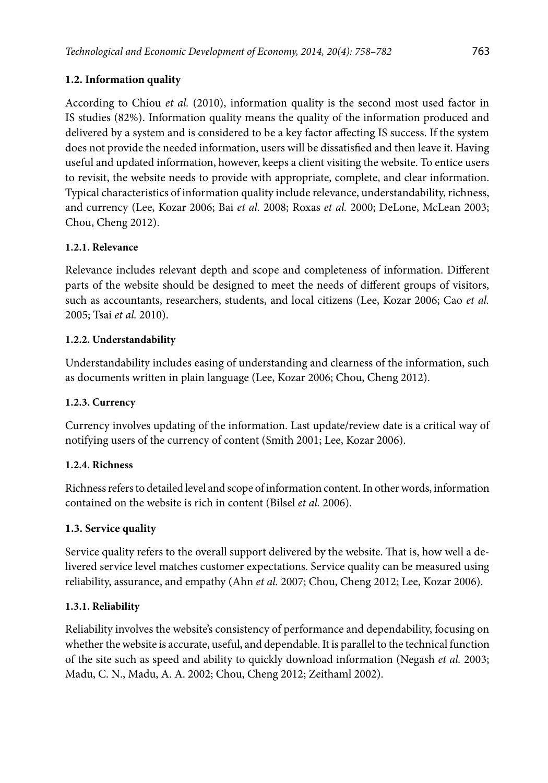# **1.2. Information quality**

According to Chiou *et al.* (2010), information quality is the second most used factor in IS studies (82%). Information quality means the quality of the information produced and delivered by a system and is considered to be a key factor affecting IS success. If the system does not provide the needed information, users will be dissatisfied and then leave it. Having useful and updated information, however, keeps a client visiting the website. To entice users to revisit, the website needs to provide with appropriate, complete, and clear information. Typical characteristics of information quality include relevance, understandability, richness, and currency (Lee, Kozar 2006; Bai *et al.* 2008; Roxas *et al.* 2000; DeLone, McLean 2003; Chou, Cheng 2012).

# **1.2.1. Relevance**

Relevance includes relevant depth and scope and completeness of information. Different parts of the website should be designed to meet the needs of different groups of visitors, such as accountants, researchers, students, and local citizens (Lee, Kozar 2006; Cao *et al.* 2005; Tsai *et al.* 2010).

# **1.2.2. Understandability**

Understandability includes easing of understanding and clearness of the information, such as documents written in plain language (Lee, Kozar 2006; Chou, Cheng 2012).

# **1.2.3. Currency**

Currency involves updating of the information. Last update/review date is a critical way of notifying users of the currency of content (Smith 2001; Lee, Kozar 2006).

# **1.2.4. Richness**

Richness refers to detailed level and scope of information content. In other words, information contained on the website is rich in content (Bilsel *et al.* 2006).

# **1.3. Service quality**

Service quality refers to the overall support delivered by the website. That is, how well a delivered service level matches customer expectations. Service quality can be measured using reliability, assurance, and empathy (Ahn *et al.* 2007; Chou, Cheng 2012; Lee, Kozar 2006).

# **1.3.1. Reliability**

Reliability involves the website's consistency of performance and dependability, focusing on whether the website is accurate, useful, and dependable. It is parallel to the technical function of the site such as speed and ability to quickly download information (Negash *et al.* 2003; Madu, C. N., Madu, A. A. 2002; Chou, Cheng 2012; Zeithaml 2002).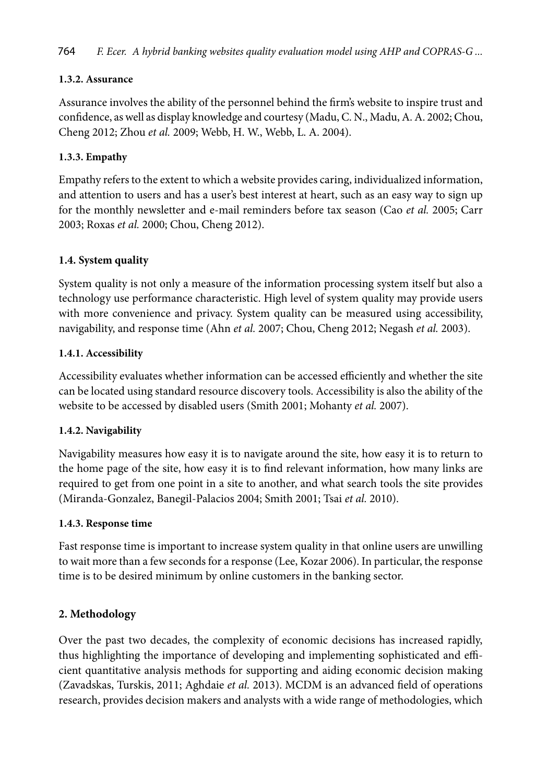## **1.3.2. Assurance**

Assurance involves the ability of the personnel behind the firm's website to inspire trust and confidence, as well as display knowledge and courtesy (Madu, C. N., Madu, A. A. 2002; Chou, Cheng 2012; Zhou *et al.* 2009; Webb, H. W., Webb, L. A. 2004).

## **1.3.3. Empathy**

Empathy refers to the extent to which a website provides caring, individualized information, and attention to users and has a user's best interest at heart, such as an easy way to sign up for the monthly newsletter and e-mail reminders before tax season (Cao *et al.* 2005; Carr 2003; Roxas *et al.* 2000; Chou, Cheng 2012).

## **1.4. System quality**

System quality is not only a measure of the information processing system itself but also a technology use performance characteristic. High level of system quality may provide users with more convenience and privacy. System quality can be measured using accessibility, navigability, and response time (Ahn *et al.* 2007; Chou, Cheng 2012; Negash *et al.* 2003).

### **1.4.1. Accessibility**

Accessibility evaluates whether information can be accessed efficiently and whether the site can be located using standard resource discovery tools. Accessibility is also the ability of the website to be accessed by disabled users (Smith 2001; Mohanty *et al.* 2007).

### **1.4.2. Navigability**

Navigability measures how easy it is to navigate around the site, how easy it is to return to the home page of the site, how easy it is to find relevant information, how many links are required to get from one point in a site to another, and what search tools the site provides (Miranda-Gonzalez, Banegil-Palacios 2004; Smith 2001; Tsai *et al.* 2010).

### **1.4.3. Response time**

Fast response time is important to increase system quality in that online users are unwilling to wait more than a few seconds for a response (Lee, Kozar 2006). In particular, the response time is to be desired minimum by online customers in the banking sector.

# **2. Methodology**

Over the past two decades, the complexity of economic decisions has increased rapidly, thus highlighting the importance of developing and implementing sophisticated and efficient quantitative analysis methods for supporting and aiding economic decision making (Zavadskas, Turskis, 2011; Aghdaie *et al.* 2013). MCDM is an advanced field of operations research, provides decision makers and analysts with a wide range of methodologies, which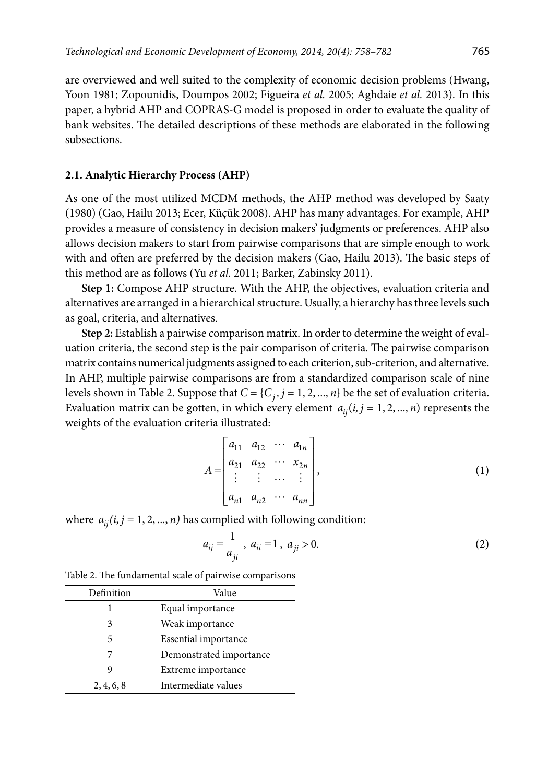are overviewed and well suited to the complexity of economic decision problems (Hwang, Yoon 1981; Zopounidis, Doumpos 2002; Figueira *et al.* 2005; Aghdaie *et al.* 2013). In this paper, a hybrid AHP and COPRAS-G model is proposed in order to evaluate the quality of bank websites. The detailed descriptions of these methods are elaborated in the following subsections.

#### **2.1. Analytic Hierarchy Process (AHP)**

As one of the most utilized MCDM methods, the AHP method was developed by Saaty (1980) (Gao, Hailu 2013; Ecer, Küçük 2008). AHP has many advantages. For example, AHP provides a measure of consistency in decision makers' judgments or preferences. AHP also allows decision makers to start from pairwise comparisons that are simple enough to work with and often are preferred by the decision makers (Gao, Hailu 2013). The basic steps of this method are as follows (Yu *et al.* 2011; Barker, Zabinsky 2011).

**Step 1:** Compose AHP structure. With the AHP, the objectives, evaluation criteria and alternatives are arranged in a hierarchical structure. Usually, a hierarchy has three levels such as goal, criteria, and alternatives.

**Step 2:** Establish a pairwise comparison matrix. In order to determine the weight of evaluation criteria, the second step is the pair comparison of criteria. The pairwise comparison matrix contains numerical judgments assigned to each criterion, sub-criterion, and alternative. In AHP, multiple pairwise comparisons are from a standardized comparison scale of nine levels shown in Table 2. Suppose that  $C = \{C_i, j = 1, 2, ..., n\}$  be the set of evaluation criteria. Evaluation matrix can be gotten, in which every element  $a_{ij}$  ( $i, j = 1, 2, ..., n$ ) represents the weights of the evaluation criteria illustrated:

$$
A = \begin{bmatrix} a_{11} & a_{12} & \cdots & a_{1n} \\ a_{21} & a_{22} & \cdots & a_{2n} \\ \vdots & \vdots & \cdots & \vdots \\ a_{n1} & a_{n2} & \cdots & a_{nn} \end{bmatrix},
$$
 (1)

where  $a_{ij}$  (*i*, *j* = 1, 2, ..., *n*) has complied with following condition:

$$
a_{ij} = \frac{1}{a_{ji}}, \ a_{ii} = 1, \ a_{ji} > 0.
$$
 (2)

| Table 2. The fundamental scale of pairwise comparisons |  |
|--------------------------------------------------------|--|
|                                                        |  |

| Definition | Value                   |
|------------|-------------------------|
| 1          | Equal importance        |
| 3          | Weak importance         |
| 5          | Essential importance    |
|            | Demonstrated importance |
| 9          | Extreme importance      |
| 2, 4, 6, 8 | Intermediate values     |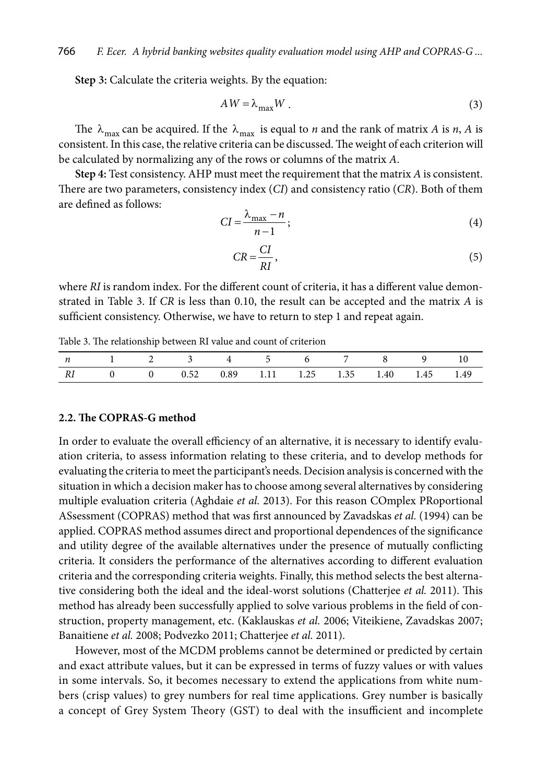**Step 3:** Calculate the criteria weights. By the equation:

$$
AW = \lambda_{\text{max}} W \tag{3}
$$

The  $\lambda_{\text{max}}$  can be acquired. If the  $\lambda_{\text{max}}$  is equal to *n* and the rank of matrix *A* is *n*, *A* is consistent. In this case, the relative criteria can be discussed. The weight of each criterion will be calculated by normalizing any of the rows or columns of the matrix *A*.

**Step 4:** Test consistency. AHP must meet the requirement that the matrix *A* is consistent. There are two parameters, consistency index (*CI*) and consistency ratio (*CR*). Both of them are defined as follows:

$$
CI = \frac{\lambda_{\max} - n}{n - 1};\tag{4}
$$

$$
CR = \frac{CI}{RI},\tag{5}
$$

where *RI* is random index. For the different count of criteria, it has a different value demonstrated in Table 3. If *CR* is less than 0.10, the result can be accepted and the matrix *A* is sufficient consistency. Otherwise, we have to return to step 1 and repeat again.

Table 3. The relationship between RI value and count of criterion

|      |  | n 1 2 3 4 5 6 7 8 9 10                      |  |  |  |  |
|------|--|---------------------------------------------|--|--|--|--|
| - RI |  | 0 0 0.52 0.89 1.11 1.25 1.35 1.40 1.45 1.49 |  |  |  |  |

### **2.2. The COPRAS-G method**

In order to evaluate the overall efficiency of an alternative, it is necessary to identify evaluation criteria, to assess information relating to these criteria, and to develop methods for evaluating the criteria to meet the participant's needs. Decision analysis is concerned with the situation in which a decision maker has to choose among several alternatives by considering multiple evaluation criteria (Aghdaie *et al.* 2013). For this reason COmplex PRoportional ASsessment (COPRAS) method that was first announced by Zavadskas *et al.* (1994) can be applied. COPRAS method assumes direct and proportional dependences of the significance and utility degree of the available alternatives under the presence of mutually conflicting criteria. It considers the performance of the alternatives according to different evaluation criteria and the corresponding criteria weights. Finally, this method selects the best alternative considering both the ideal and the ideal-worst solutions (Chatterjee *et al.* 2011). This method has already been successfully applied to solve various problems in the field of construction, property management, etc. (Kaklauskas *et al.* 2006; Viteikiene, Zavadskas 2007; Banaitiene *et al.* 2008; Podvezko 2011; Chatterjee *et al.* 2011).

However, most of the MCDM problems cannot be determined or predicted by certain and exact attribute values, but it can be expressed in terms of fuzzy values or with values in some intervals. So, it becomes necessary to extend the applications from white numbers (crisp values) to grey numbers for real time applications. Grey number is basically a concept of Grey System Theory (GST) to deal with the insufficient and incomplete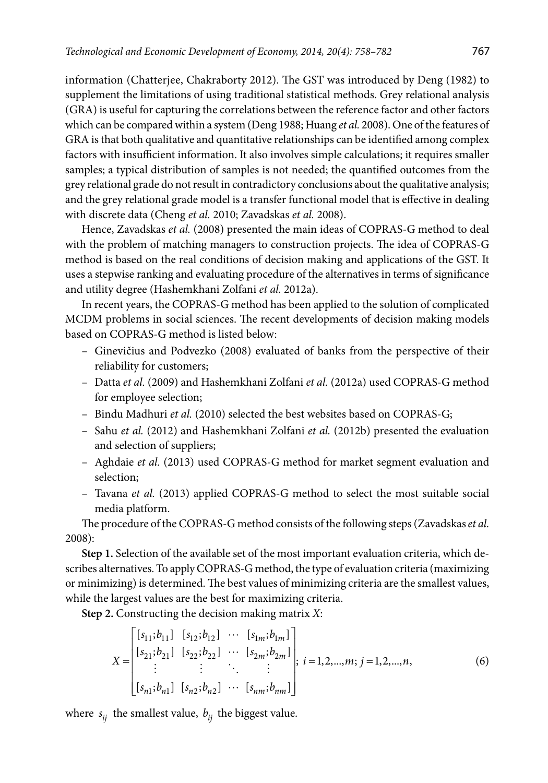information (Chatterjee, Chakraborty 2012). The GST was introduced by Deng (1982) to supplement the limitations of using traditional statistical methods. Grey relational analysis (GRA) is useful for capturing the correlations between the reference factor and other factors which can be compared within a system (Deng 1988; Huang *et al.* 2008). One of the features of GRA is that both qualitative and quantitative relationships can be identified among complex factors with insufficient information. It also involves simple calculations; it requires smaller samples; a typical distribution of samples is not needed; the quantified outcomes from the grey relational grade do not result in contradictory conclusions about the qualitative analysis; and the grey relational grade model is a transfer functional model that is effective in dealing with discrete data (Cheng *et al.* 2010; Zavadskas *et al.* 2008).

Hence, Zavadskas *et al.* (2008) presented the main ideas of COPRAS-G method to deal with the problem of matching managers to construction projects. The idea of COPRAS-G method is based on the real conditions of decision making and applications of the GST. It uses a stepwise ranking and evaluating procedure of the alternatives in terms of significance and utility degree (Hashemkhani Zolfani *et al.* 2012a).

In recent years, the COPRAS-G method has been applied to the solution of complicated MCDM problems in social sciences. The recent developments of decision making models based on COPRAS-G method is listed below:

- Ginevičius and Podvezko (2008) evaluated of banks from the perspective of their reliability for customers;
- Datta *et al.* (2009) and Hashemkhani Zolfani *et al.* (2012a) used COPRAS-G method for employee selection;
- Bindu Madhuri *et al.* (2010) selected the best websites based on COPRAS-G;
- Sahu *et al.* (2012) and Hashemkhani Zolfani *et al.* (2012b) presented the evaluation and selection of suppliers;
- Aghdaie *et al.* (2013) used COPRAS-G method for market segment evaluation and selection;
- Tavana *et al.* (2013) applied COPRAS-G method to select the most suitable social media platform.

The procedure of the COPRAS-G method consists of the following steps (Zavadskas *et al.* 2008):

**Step 1.** Selection of the available set of the most important evaluation criteria, which describes alternatives. To apply COPRAS-G method, the type of evaluation criteria (maximizing or minimizing) is determined. The best values of minimizing criteria are the smallest values, while the largest values are the best for maximizing criteria.

**Step 2.** Constructing the decision making matrix *X*:

$$
X = \begin{bmatrix} [s_{11}; b_{11}] & [s_{12}; b_{12}] & \cdots & [s_{1m}; b_{1m}] \\ [s_{21}; b_{21}] & [s_{22}; b_{22}] & \cdots & [s_{2m}; b_{2m}] \\ \vdots & \vdots & \ddots & \vdots \\ [s_{n1}; b_{n1}] & [s_{n2}; b_{n2}] & \cdots & [s_{nm}; b_{nm}] \end{bmatrix}; i = 1, 2, ..., m; j = 1, 2, ..., n,
$$
 (6)

where  $s_{ij}$  the smallest value,  $b_{ij}$  the biggest value.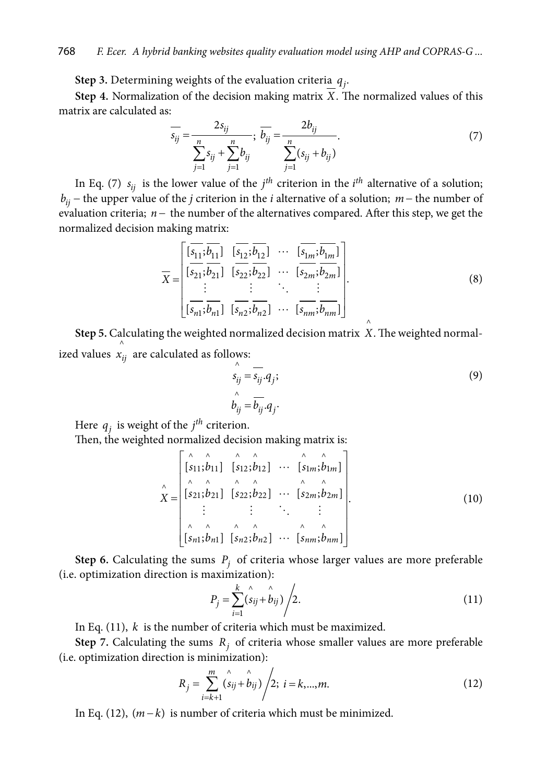**Step 3.** Determining weights of the evaluation criteria *<sup>j</sup> q* .

**Step 4.** Normalization of the decision making matrix *X*. The normalized values of this matrix are calculated as:

$$
\overline{s_{ij}} = \frac{2s_{ij}}{\sum_{j=1}^{n} s_{ij} + \sum_{j=1}^{n} b_{ij}}; \ \overline{b_{ij}} = \frac{2b_{ij}}{\sum_{j=1}^{n} (s_{ij} + b_{ij})}.
$$
(7)

In Eq. (7)  $s_{ij}$  is the lower value of the *j*<sup>th</sup> criterion in the *i*<sup>th</sup> alternative of a solution;  $b_{ij}$  – the upper value of the *j* criterion in the *i* alternative of a solution; *m* – the number of evaluation criteria; *n* − the number of the alternatives compared. After this step, we get the normalized decision making matrix:

$$
\overline{X} = \begin{bmatrix} \overline{[s_{11}; b_{11}]} & \overline{[s_{12}; b_{12}]} & \cdots & \overline{[s_{1m}; b_{1m}]} \\ \overline{[s_{21}; b_{21}]} & \overline{[s_{22}; b_{22}]} & \cdots & \overline{[s_{2m}; b_{2m}]} \\ \vdots & \vdots & \ddots & \vdots \\ \overline{[s_{m1}; b_{m1}]} & \overline{[s_{m2}; b_{m2}]} & \cdots & \overline{[s_{nm}; b_{nm}]} \end{bmatrix} .
$$
\n(8)

**Step 5.** Calculating the weighted normalized decision matrix  $\stackrel{\wedge}{X}$ . The weighted normalized values  $\hat{x_{ij}}$  are calculated as follows:

$$
\hat{s}_{ij} = \overline{s_{ij}} \cdot q_j; \n\hat{b}_{ij} = \overline{b_{ij}} \cdot q_j.
$$
\n(9)

Here  $q_i$  is weight of the  $j<sup>th</sup>$  criterion.

Then, the weighted normalized decision making matrix is:

$$
\hat{X} = \begin{bmatrix}\n\hat{s}_{11}, \hat{b}_{11} & \hat{s}_{12}, \hat{b}_{12} & \cdots & \hat{s}_{1m}, \hat{b}_{1m} \\
\hat{s}_{21}, \hat{b}_{21} & \hat{s}_{22}, \hat{b}_{22} & \cdots & \hat{s}_{2m}, \hat{b}_{2m} \\
\vdots & \vdots & \ddots & \vdots \\
\hat{s}_{n1}, \hat{b}_{n1} & \hat{s}_{n2}, \hat{b}_{n2} & \cdots & \hat{s}_{nm}, \hat{b}_{nm}\n\end{bmatrix}.
$$
\n(10)

**Step 6.** Calculating the sums  $P_j$  of criteria whose larger values are more preferable (i.e. optimization direction is maximization):

$$
P_j = \sum_{i=1}^{k} (\hat{s}_{ij} + \hat{b}_{ij}) / 2.
$$
 (11)

In Eq. (11), *k* is the number of criteria which must be maximized.

**Step 7.** Calculating the sums  $R_i$  of criteria whose smaller values are more preferable (i.e. optimization direction is minimization):

$$
R_j = \sum_{i=k+1}^{m} (s_{ij} + \hat{b}_{ij}) / 2; \ i = k, ..., m.
$$
 (12)

In Eq. (12),  $(m-k)$  is number of criteria which must be minimized.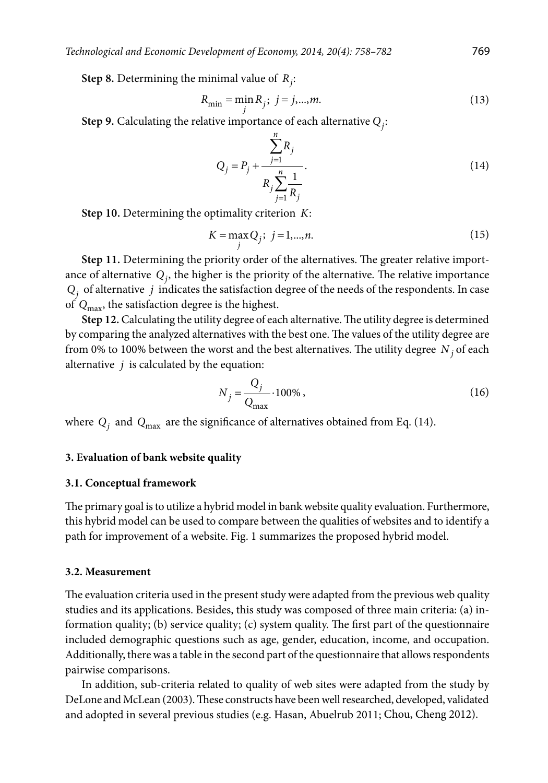**Step 8.** Determining the minimal value of *Rj* :

$$
R_{\min} = \min_{j} R_{j}; \ j = j, ..., m.
$$
 (13)

**Step 9.** Calculating the relative importance of each alternative *Qj* :

$$
Q_{j} = P_{j} + \frac{\sum_{j=1}^{n} R_{j}}{R_{j} \sum_{j=1}^{n} \frac{1}{R_{j}}}
$$
 (14)

**Step 10.** Determining the optimality criterion *K*:

$$
K = \max_{j} Q_j; \quad j = 1, \dots, n. \tag{15}
$$

**Step 11.** Determining the priority order of the alternatives. The greater relative importance of alternative  $Q_j$ , the higher is the priority of the alternative. The relative importance *Qj* of alternative *j* indicates the satisfaction degree of the needs of the respondents. In case of  $Q_{\text{max}}$ , the satisfaction degree is the highest.

**Step 12.** Calculating the utility degree of each alternative. The utility degree is determined by comparing the analyzed alternatives with the best one. The values of the utility degree are from 0% to 100% between the worst and the best alternatives. The utility degree *N <sup>j</sup>* of each alternative *j* is calculated by the equation:

$$
N_j = \frac{Q_j}{Q_{\text{max}}} \cdot 100\%,\tag{16}
$$

where  $Q_i$  and  $Q_{\text{max}}$  are the significance of alternatives obtained from Eq. (14).

#### **3. Evaluation of bank website quality**

#### **3.1. Conceptual framework**

The primary goal is to utilize a hybrid model in bank website quality evaluation. Furthermore, this hybrid model can be used to compare between the qualities of websites and to identify a path for improvement of a website. Fig. 1 summarizes the proposed hybrid model.

#### **3.2. Measurement**

The evaluation criteria used in the present study were adapted from the previous web quality studies and its applications. Besides, this study was composed of three main criteria: (a) information quality; (b) service quality; (c) system quality. The first part of the questionnaire included demographic questions such as age, gender, education, income, and occupation. Additionally, there was a table in the second part of the questionnaire that allows respondents pairwise comparisons.

In addition, sub-criteria related to quality of web sites were adapted from the study by DeLone and McLean (2003). These constructs have been well researched, developed, validated and adopted in several previous studies (e.g. Hasan, Abuelrub 2011; Chou, Cheng 2012).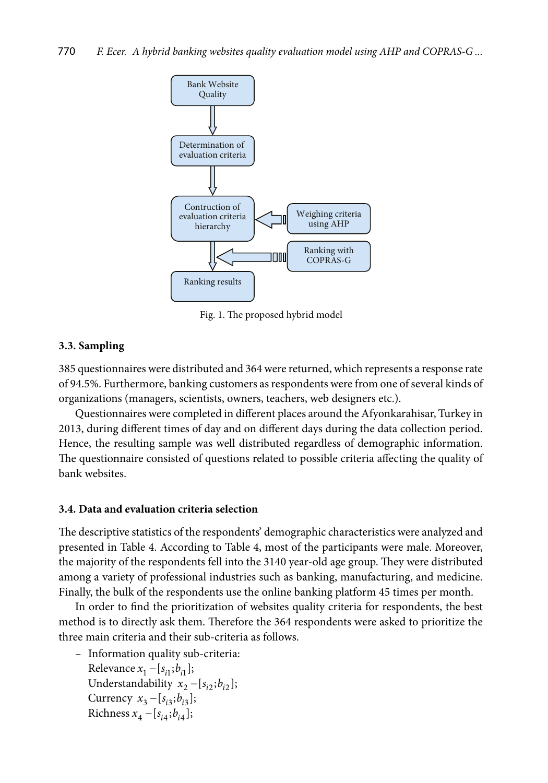

Fig. 1. The proposed hybrid model

### **3.3. Sampling**

385 questionnaires were distributed and 364 were returned, which represents a response rate of 94.5%. Furthermore, banking customers as respondents were from one of several kinds of organizations (managers, scientists, owners, teachers, web designers etc.).

Questionnaires were completed in different places around the Afyonkarahisar, Turkey in 2013, during different times of day and on different days during the data collection period. Hence, the resulting sample was well distributed regardless of demographic information. The questionnaire consisted of questions related to possible criteria affecting the quality of bank websites.

### **3.4. Data and evaluation criteria selection**

The descriptive statistics of the respondents' demographic characteristics were analyzed and presented in Table 4. According to Table 4, most of the participants were male. Moreover, the majority of the respondents fell into the 3140 year-old age group. They were distributed among a variety of professional industries such as banking, manufacturing, and medicine. Finally, the bulk of the respondents use the online banking platform 45 times per month.

In order to find the prioritization of websites quality criteria for respondents, the best method is to directly ask them. Therefore the 364 respondents were asked to prioritize the three main criteria and their sub-criteria as follows.

- Information quality sub-criteria:
	- Relevance  $x_1 [s_{i1}; b_{i1}]$ ; Understandability  $x_2 - [s_{i2}; b_{i2}]$ ; Currency  $x_3 - [s_{i3}; b_{i3}]$ ; Richness  $x_4 - [s_{i4}; b_{i4}]$ ;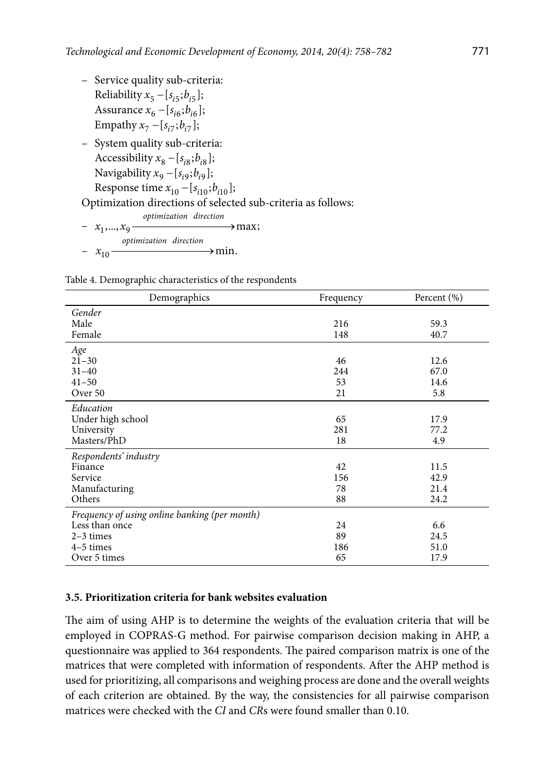– Service quality sub-criteria: Reliability  $x_5 - [s_{i5}; b_{i5}]$ ; Assurance  $x_6 - [s_{i6}; b_{i6}]$ ; Empathy  $x_7 - [s_{i7}; b_{i7}]$ ; – System quality sub-criteria: Accessibility  $x_8 - [s_{i8}; b_{i8}]$ ; Navigability  $x_9 - [s_{i9}; b_{i9}]$ ; Response time  $x_{10} - [s_{i10}; b_{i10}]$ ; Optimization directions of selected sub-criteria as follows:  $\longrightarrow$   $x_1, ..., x_9 \longrightarrow$  max; *optimization direction*<br> *max*  $\longrightarrow$ min. *optimization direction*

| Demographics                                  | Frequency | Percent $(\% )$ |
|-----------------------------------------------|-----------|-----------------|
| Gender                                        |           |                 |
| Male                                          | 216       | 59.3            |
| Female                                        | 148       | 40.7            |
| Age                                           |           |                 |
| $21 - 30$                                     | 46        | 12.6            |
| $31 - 40$                                     | 244       | 67.0            |
| $41 - 50$                                     | 53        | 14.6            |
| Over 50                                       | 21        | 5.8             |
| Education                                     |           |                 |
| Under high school                             | 65        | 17.9            |
| University                                    | 281       | 77.2            |
| Masters/PhD                                   | 18        | 4.9             |
| Respondents' industry                         |           |                 |
| Finance                                       | 42        | 11.5            |
| Service                                       | 156       | 42.9            |
| Manufacturing                                 | 78        | 21.4            |
| Others                                        | 88        | 24.2            |
| Frequency of using online banking (per month) |           |                 |
| Less than once                                | 24        | 6.6             |
| $2-3$ times                                   | 89        | 24.5            |
| $4-5$ times                                   | 186       | 51.0            |
| Over 5 times                                  | 65        | 17.9            |

### **3.5. Prioritization criteria for bank websites evaluation**

The aim of using AHP is to determine the weights of the evaluation criteria that will be employed in COPRAS-G method. For pairwise comparison decision making in AHP, a questionnaire was applied to 364 respondents. The paired comparison matrix is one of the matrices that were completed with information of respondents. After the AHP method is used for prioritizing, all comparisons and weighing process are done and the overall weights of each criterion are obtained. By the way, the consistencies for all pairwise comparison matrices were checked with the *CI* and *CR*s were found smaller than 0.10.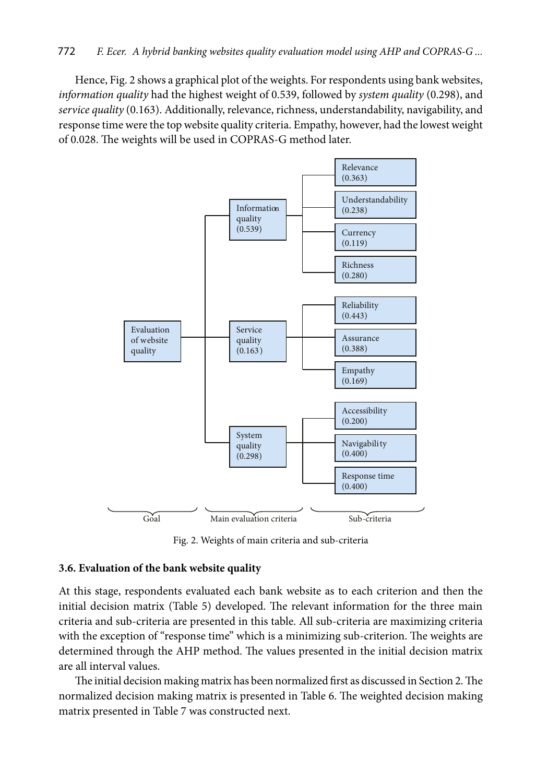Hence, Fig. 2 shows a graphical plot of the weights. For respondents using bank websites, *information quality* had the highest weight of 0.539, followed by *system quality* (0.298), and *service quality* (0.163). Additionally, relevance, richness, understandability, navigability, and response time were the top website quality criteria. Empathy, however, had the lowest weight of 0.028. The weights will be used in COPRAS-G method later.



Fig. 2. Weights of main criteria and sub-criteria

### **3.6. Evaluation of the bank website quality**

At this stage, respondents evaluated each bank website as to each criterion and then the initial decision matrix (Table 5) developed. The relevant information for the three main criteria and sub-criteria are presented in this table. All sub-criteria are maximizing criteria with the exception of "response time" which is a minimizing sub-criterion. The weights are determined through the AHP method. The values presented in the initial decision matrix are all interval values.

The initial decision making matrix has been normalized first as discussed in Section 2. The normalized decision making matrix is presented in Table 6. The weighted decision making matrix presented in Table 7 was constructed next.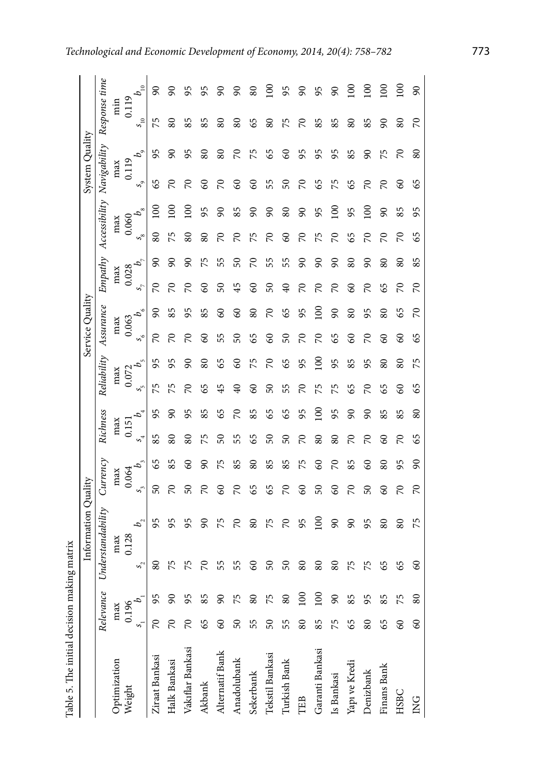| Table 5. The initial decision making matrix |                                  |                |                   |                     |               |             |                  |                     |               |               |                     |                  |                                       |    |                 |                             |               |                             |               |                             |
|---------------------------------------------|----------------------------------|----------------|-------------------|---------------------|---------------|-------------|------------------|---------------------|---------------|---------------|---------------------|------------------|---------------------------------------|----|-----------------|-----------------------------|---------------|-----------------------------|---------------|-----------------------------|
|                                             |                                  |                |                   | Information Quality |               |             |                  |                     |               |               |                     | Service Quality  |                                       |    |                 |                             |               | System Quality              |               |                             |
|                                             |                                  | Relevance      | Understandability |                     | Currency      |             | Richness         |                     | Reliability   |               | Assurance           |                  | Empathy                               |    | Accessibility   |                             | Navigability  |                             | Response time |                             |
| Optimization                                |                                  |                | max               |                     | max           |             | max              |                     | max           |               | max                 |                  | max                                   |    | max             |                             | max           |                             | min           |                             |
| Weight                                      | max<br>$0.196$<br>$s_1$<br>$b_1$ |                | 0.128             |                     | 0.064         |             | 0.151            |                     | 0.072         |               | 0.063               |                  | 0.028                                 |    | 0.060           |                             | 0.119         |                             | 0.119         |                             |
|                                             |                                  |                | $s_{\alpha}$      | $b_{\tiny 2}^{\,}$  | $s_{3}$       | $b_{\rm_2}$ | $\mathfrak{c}_4$ | $\sigma_{\!{}^{4}}$ | $s_{5}$       | م             | $s^{\circ}_{\circ}$ | $\sigma_{\rm e}$ | $S_{\!\scriptscriptstyle\mathcal{T}}$ | م  | S.              | $\sigma_{\rm s}$            | $s_{\circ}$   | $b_{\circ}$                 | $s_{_{10}}$   | $\sigma_{\rm lo}$           |
| Ziraat Bankasi                              | 70                               | 95             | 80                | 95                  | $50\,$        | 65          | 85               | 95                  | 75            | 95            | 20                  | ୡ                | 20                                    | ଞ  | $80\,$          | $\mathsf{\Xi}$              | 65            | 95                          | 75            | ခ                           |
| Halk Bankasi                                | $\overline{C}$                   | $\infty$       | 75                | 95                  | $\mathcal{L}$ | 85          | 80               | ୡ                   | 75            | 95            | 50                  | 85               |                                       | 8  | 75              | $\Xi$                       | 5             | $\mathcal{S}^{\mathcal{O}}$ | 80            |                             |
| Vakıflar Bankasi                            | $\overline{C}$                   | 95             | 75                | 95                  | 50            | 8           | 80               | 95                  | 20            | ଛ             | 50                  | 95               |                                       | S  | 80              | $\widetilde{\circ}$         |               | 95                          | 85            |                             |
| Akbank                                      | 65                               | 85             | $\mathcal{L}$     | $\infty$            | $\mathcal{L}$ | 8           | 75               | 85                  | 65            | $^{\rm 80}$   | 8                   | 85               | 8                                     | 75 | 80              | 95                          | 8             | 80                          | 85            | 95                          |
| Alternatif Bank                             | 60                               | $\overline{6}$ | 55                | 75                  | 8             | 75          | ິລ               | 65                  | 45            | 65            | 55                  | 8                | 50                                    | 55 |                 | ಽ                           | R             | 80                          | 80            | ငွ                          |
| Anadolubank                                 | 50                               | 75             | 55                | 5                   | 50            | 85          | 55               | 20                  | $\Theta$      | 60            | 50                  | 8                | 45                                    | 50 | 5               | 85                          | 8             | 50                          | 80            | ର                           |
| Sekerbank                                   | 55                               | 80             | 60                | 80                  | 65            | 80          | 65               | 85                  | 3             | 75            | 65                  | 80               | 8                                     | 5  | 52              | $\infty$                    | 8             | 75                          | 99            | $80\,$                      |
| Tekstil Bankasi                             | 50                               | 75             | 50                | 75                  | 65            | 85          | 50               | 65                  | 50            | $\mathcal{L}$ | 8                   | $\mathcal{L}$    | ິລ                                    | 55 |                 | $\mathcal{S}^{\mathcal{O}}$ | 55            | 65                          | 80            | $\Xi$                       |
| Turkish Bank                                | 55                               | 80             | $50^{\circ}$      | $\mathcal{L}$       | $\mathcal{E}$ | 85          | 50               | 65                  | 55            | 65            | 50                  | 65               | $\Theta$                              | 55 | 8               | 80                          | $50^{\circ}$  | ଌ                           | 75            | 95                          |
| TEB                                         | 80                               | 100            | 80                | 95                  | 8             | 75          | 5                | 95                  | 50            | 95            | 50                  | 95               | $\mathcal{E}$                         | ୡ  | $\overline{70}$ | 90                          | $\mathcal{E}$ | 95                          | 5             | ଛ                           |
| Garanti Bankasi                             | 85                               | 100            | 80                | $\overline{5}$      | $50\,$        | $\delta$    | 80               | S                   | 75            | ខ             | $\mathcal{L}$       | $\overline{5}$   | 20                                    | S  | 75              | 95                          | 65            | 95                          | 85            | 95                          |
| Is Bankasi                                  | 75                               | $\infty$       | 80                | $\infty$            | 8             | 5           | 80               | 95                  | 75            | 95            | 65                  | S)               | 2                                     | g  |                 | $\overline{\mathrm{S}}$     | 75            | 95                          | 85            | ର                           |
| Yapı ve Kredi                               | 65                               | 85             | 75                | ଛ                   | $\mathcal{L}$ | 85          | 20               | Ձ                   | 65            | 85            | 8                   | 80               | 8                                     | 80 | 65              | 95                          | 65            | 85                          | 80            | $\Xi$                       |
| Denizbank                                   | 80                               | 95             | 75                | 95                  | $50\,$        | 8           | 2                | ଛ                   | $\mathcal{L}$ | 95            | 50                  | 95               | 20                                    | ୡ  | 20              | $\overline{0}$              | 50            | $\infty$                    | 85            | $\overline{5}$              |
| Finans Bank                                 | 65                               | 85             | 65                | 80                  | 8             | 80          | 60               | 85                  | 65            | 80            | 8                   | 80               | 65                                    | S  | 50              | 8                           | R             | 75                          | 90            | $\mathbf{5}$                |
| HSBC                                        | 60                               | 75             | 65                | $80\,$              | $\mathcal{L}$ | 95          | 20               | 85                  | 8             | $80\,$        | $\Im$               | 65               | $\mathcal{L}$                         | 80 | $\mathcal{L}$   | 85                          | 8             | $\mathcal{E}$               | $80\,$        | $\frac{5}{2}$               |
| <b>EXC</b>                                  | 60                               | 80             | $\infty$          | 75                  | $\mathcal{L}$ | $\infty$    | 65               | 80                  | 65            | 75            | 65                  | $\mathcal{R}$    | $\overline{70}$                       | 85 | 65              | 95                          | 65            | 80                          | $\mathcal{R}$ | $\mathcal{S}^{\mathcal{O}}$ |

*Technological and Economic Development of Economy, 2014, 20(4): 758–782* 773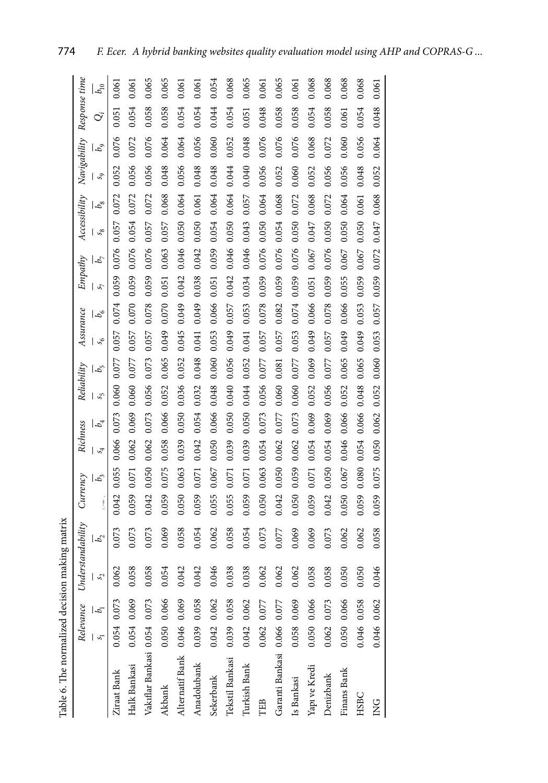| Table 6. The normalized decision making matrix |               |                |                   |                |                       |                           |                |       |             |                |                |                  |         |       |               |                  |                   |         |               |          |
|------------------------------------------------|---------------|----------------|-------------------|----------------|-----------------------|---------------------------|----------------|-------|-------------|----------------|----------------|------------------|---------|-------|---------------|------------------|-------------------|---------|---------------|----------|
|                                                | Relevance     |                | Understandability |                | Currency              |                           | Richness       |       | Reliability |                | Assurance      |                  | Empathy |       | Accessibility |                  | Navigability      |         | Response time |          |
|                                                | $\frac{1}{2}$ | $\overline{b}$ | $s_2$             | b <sub>2</sub> | $f_1^{\rm c}$ --ories | $b_3^{\phantom{\dagger}}$ | s <sub>4</sub> | $b_4$ | S5          | b <sub>5</sub> | s <sub>6</sub> | $\overline{b_6}$ | $s_7$   | $b_7$ | $s_8$         | $\overline{b_8}$ | $\mathcal{S}_{Q}$ | $b_{9}$ | Ï             | $b_{10}$ |
| Ziraat Bank                                    | 0.054 0.073   |                | 0.062             | 0.073          | 0.042                 | 0.055                     | 0.066          | 0.073 | 0.060       | 0.077          | 0.057          | 0.074            | 0.059   | 0.076 | 0.057         | 0.072            | 0.052             | 0.076   | 0.051         | 0.061    |
| Halk Bankasi 0.054 0.069                       |               |                | 0.058             | 0.073          | 0.059                 | 0.071                     | 0.062          | 0.069 | 0.060       | 0.077          | 0.057          | 0.070            | 0.059   | 0.076 | 0.054         | 0.072            | 0.056             | 0.072   | 0.054         | 0.061    |
| Vakıflar Bankasi 0.054 0.073                   |               |                | 0.058             | 0.073          | 0.042                 | 0.050                     | 0.062          | 0.073 | 0.056       | 0.073          | 0.057          | 0.078            | 0.059   | 0.076 | 0.057         | 0.072            | 0.056             | 0.076   | 0.058         | 0.065    |
| Akbank                                         | 0.050 0.066   |                | 0.054             | 0.069          | 0.059                 | 0.075                     | 0.058          | 0.066 | 0.052       | 0.065          | 0.049          | 0.070            | 0.051   | 0.063 | 0.057         | 0.068            | 0.048             | 0.064   | 0.058         | 0.065    |
| Alternatif Bank 0.046 0.069                    |               |                | 0.042             | 0.058          | 0.050                 | 0.063                     | 0.039          | 0.050 | 0.036       | 0.052          | 0.045          | 0.049            | 0.042   | 0.046 | 0.050         | 0.064            | 0.056             | 0.064   | 0.054         | 0.061    |
| Anadolubank                                    | 0.039 0.058   |                | 0.042             | 0.054          | 0.059                 | 0.071                     | 0.042          | 0.054 | 0.032       | 0.048          | 0.041          | 0.049            | 0.038   | 0.042 | 0.050         | 0.061            | 0.048             | 0.056   | 0.054         | 0.061    |
| Sekerbank                                      | 0.042 0.062   |                | 0.046             | 0.062          | 0.055                 | 0.067                     | 0.050          | 0.066 | 0.048       | 0.060          | 0.053          | 0.066            | 0.051   | 0.059 | 0.054         | 0.064            | 0.048             | 0.060   | 0.044         | 0.054    |
| Tekstil Bankasi                                | 0.039 0.058   |                | 0.038             | 0.058          | 0.055                 | 0.071                     | 0.039          | 0.050 | 0.040       | 0.056          | 0.049          | 0.057            | 0.042   | 0.046 | 0.050         | 0.064            | 0.044             | 0.052   | 0.054         | 0.068    |
| Turkish Bank                                   | 0.042 0.062   |                | 0.038             | 0.054          | 0.059                 | 0.071                     | 0.039          | 0.050 | 0.044       | 0.052          | 0.041          | 0.053            | 0.034   | 0.046 | 0.043         | 0.057            | 0.040             | 0.048   | 0.051         | 0.065    |
| TEB                                            | 0.062 0.077   |                | 0.062             | 0.073          | 0.050                 | 0.063                     | 0.054          | 0.073 | 0.056       | 0.077          | 0.057          | 0.078            | 0.059   | 0.076 | 0.050         | 0.064            | 0.056             | 0.076   | 0.048         | 0.061    |
| Garanti Bankasi 0.066 0.077                    |               |                | 0.062             | 0.077          | 0.042                 | 0.050                     | 0.062          | 0.077 | 0.060       | 0.081          | 0.057          | 0.082            | 0.059   | 0.076 | 0.054         | 0.068            | 0.052             | 0.076   | 0.058         | 0.065    |
| Is Bankasi                                     | 0.058 0.069   |                | 0.062             | 0.069          | 0.050                 | 0.059                     | 0.062          | 0.073 | 0.060       | 0.077          | 0.053          | 0.074            | 0.059   | 0.076 | 0.050         | 0.072            | 0.060             | 0.076   | 0.058         | 0.061    |
| Yapı ve Kredi                                  | 0.050 0.066   |                | 0.058             | 0.069          | 0.059                 | 0.071                     | 0.054          | 0.069 | 0.052       | 0.069          | 0.049          | 0.066            | 0.051   | 0.067 | 0.047         | 0.068            | 0.052             | 0.068   | 0.054         | 0.068    |
| Denizbank                                      | 0.062 0.073   |                | 0.058             | 0.073          | 0.042                 | 0.050                     | 0.054          | 0.069 | 0.056       | $0.077$        | 0.057          | 0.078            | 0.059   | 0.076 | 0.050         | 0.072            | 0.056             | 0.072   | 0.058         | 0.068    |
| Finans Bank                                    | 0.050 0.066   |                | 0.050             | 0.062          | 0.050                 | 0.067                     | 0.046          | 0.066 | 0.052       | 0.065          | 0.049          | 0.066            | 0.055   | 0.067 | 0.050         | 0.064            | 0.056             | 0.060   | 0.061         | 0.068    |
| HSBC                                           | 0.046 0.058   |                | 0.050             | 0.062          | 0.059                 | 0.080                     | 0.054          | 0.066 | 0.048       | 0.065          | 0.049          | 0.053            | 0.059   | 0.067 | 0.050         | 0.061            | 0.048             | 0.056   | 0.054         | 0.068    |
| <b>DNG</b>                                     | 0.046 0.062   |                | 0.046             | 0.058          | 0.059                 | 0.075                     | 0.050          | 0.062 | 0.052       | 0.060          | 0.053          | 0.057            | 0.059   | 0.072 | 0.047         | 0.068            | 0.052             | 0.064   | 0.048         | 0.061    |

774 *F. Ecer. A hybrid banking websites quality evaluation model using AHP and COPRAS-G ...*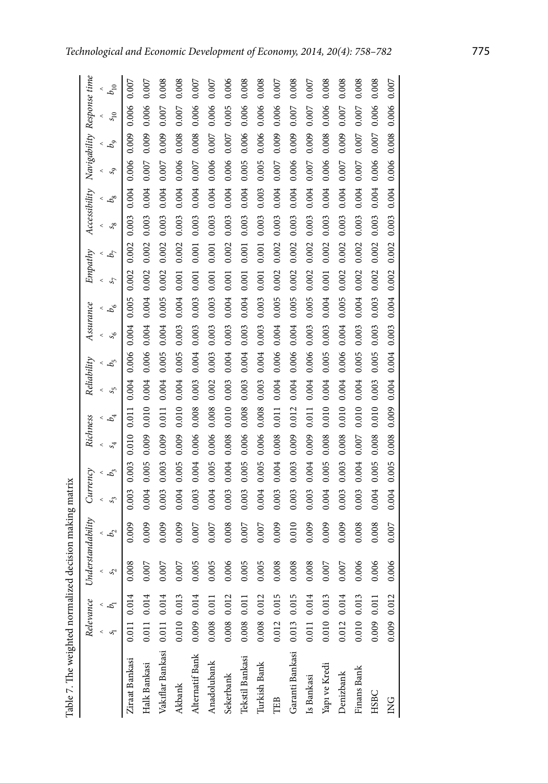|                              |       | Relevance   | Understandability |                     | Currency    |                  | Richness                    |                  | Reliability   |                | Assurance         |                   | Empathy          |                                  | Accessibility    |                      | Navigability Response time |       |                   |                                      |
|------------------------------|-------|-------------|-------------------|---------------------|-------------|------------------|-----------------------------|------------------|---------------|----------------|-------------------|-------------------|------------------|----------------------------------|------------------|----------------------|----------------------------|-------|-------------------|--------------------------------------|
|                              |       |             | $s_2$             | $\hat{\mathcal{L}}$ | S3<br>$\,<$ | $b_3$<br>$\prec$ | $\prec$<br>$\mathfrak{c}_4$ | $\prec$<br>$b_4$ | S5<br>$\prec$ | b <sub>5</sub> | $\mathcal{S}_{6}$ | $\delta_{\alpha}$ | $s_7$<br>$\prec$ | $b_{\!\scriptscriptstyle\gamma}$ | $\prec$<br>$s_8$ | $\sim$ $\frac{8}{3}$ | S9                         | $b_9$ | $s_{10}$<br>$\,<$ | $b_{10}$<br>$\overline{\phantom{a}}$ |
| Ziraat Bankasi               |       | 0.011 0.014 | 0.008             | 0.009               | 0.003       | 0.003            | 0.010                       | 0.011            | 0.004         | 0.006          | 0.004             | 0.005             | 0.002            | 0.002                            | 0.003            | 0.004                | 0.006                      | 0.009 | 0.006             | 0.007                                |
| Halk Bankasi                 |       | 0.011 0.014 | 0.007             | 0.009               | 0.004       | 0.005            | 0.009                       | 0.010            | 0.004         | 0.006          | 0.004             | 0.004             | 0.002            | 0.002                            | 0.003            | 0.004                | 0.007                      | 0.009 | 0.006             | 0.007                                |
| Vakıflar Bankasi 0.011 0.014 |       |             | 0.007             | 0.009               | 0.003       | 0.003            | 0.009                       | 0.011            | 0.004         | 0.005          | 0.004             | 0.005             | 0.002            | 0.002                            | 0.003            | 0.004                | 0.007                      | 0.009 | 0.007             | 0.008                                |
| Akbank                       |       | 0.010 0.013 | 0.007             | 0.009               | 0.004       | 0.005            | 0.009                       | 0.010            | 0.004         | 0.005          | 0.003             | 0.004             | 0.001            | 0.002                            | 0.003            | 0.004                | 0.006                      | 0.008 | 0.007             | 0.008                                |
| Alternatif Bank              |       | 0.009 0.014 | 0.005             | 0.007               | 0.003       | 0.004            | 0.006                       | 0.008            | 0.003         | 0.004          | 0.003             | 0.003             | 0.001            | 0.001                            | 0.003            | 0.004                | 0.007                      | 0.008 | 0.006             | 0.007                                |
| Anadolubank                  |       | 0.008 0.011 | 0.005             | 0.007               | 0.004       | 0.005            | 0.006                       | 0.008            | 0.002         | 0.003          | 0.003             | 0.003             | 0.001            | 0.001                            | 0.003            | 0.004                | 0.006                      | 0.007 | 0.006             | 0.007                                |
| Sekerbank                    |       | 0.008 0.012 | 0.006             | 0.008               | 0.003       | 0.004            | 0.008                       | 0.010            | 0.003         | 0.004          | 0.003             | 0.004             | 0.001            | 0.002                            | 0.003            | 0.004                | 0.006                      | 0.007 | 0.005             | 0.006                                |
| Tekstil Bankasi              |       | 0.008 0.011 | 0.005             | 0.007               | 0.003       | 0.005            | 0.006                       | 0.008            | 0.003         | 0.004          | 0.003             | 0.004             | 0.001            | 0.001                            | 0.003            | 0.004                | 0.005                      | 0.006 | 0.006             | 0.008                                |
| Turkish Bank                 |       | 0.008 0.012 | 0.005             | 0.007               | 0.004       | 0.005            | 0.006                       | 0.008            | 0.003         | 0.004          | 0.003             | 0.003             | 0.001            | 0.001                            | 0.003            | 0.003                | 0.005                      | 0.006 | 0.006             | 0.008                                |
| TEB                          | 0.012 | 0.015       | 0.008             | 0.009               | 0.003       | 0.004            | 0.008                       | 0.011            | 0.004         | 0.006          | 0.004             | 0.005             | 0.002            | 0.002                            | 0.003            | 0.004                | 0.007                      | 0.009 | 0.006             | 0.007                                |
| Garanti Bankasi              |       | 0.013 0.015 | 0.008             | 0.010               | 0.003       | 0.003            | 0.009                       | 0.012            | 0.004         | 0.006          | 0.004             | 0.005             | 0.002            | 0.002                            | 0.003            | 0.004                | 0.006                      | 0.009 | 0.007             | 0.008                                |
| Is Bankasi                   |       | 0.011 0.014 | 0.008             | 0.009               | 0.003       | 0.004            | 0.009                       | 0.011            | 0.004         | 0.006          | 0.003             | 0.005             | 0.002            | 0.002                            | 0.003            | 0.004                | 0.007                      | 0.009 | 0.007             | 0.007                                |
| Yapı ve Kredi                |       | 0.010 0.013 | 0.007             | 0.009               | 0.004       | 0.005            | 0.008                       | 0.010            | 0.004         | 0.005          | 0.003             | 0.004             | 0.001            | 0.002                            | 0.003            | 0.004                | 0.006                      | 0.008 | 0.006             | 0.008                                |
| Denizbank                    |       | 0.012 0.014 | 0.007             | 0.009               | 0.003       | 0.003            | 0.008                       | 0.010            | 0.004         | 0.006          | 0.004             | 0.005             | 0.002            | 0.002                            | 0.003            | 0.004                | 0.007                      | 0.009 | 0.007             | 0.008                                |
| Finans Bank                  |       | 0.010 0.013 | 0.006             | 0.008               | 0.003       | 0.004            | 0.007                       | 0.010            | 0.004         | 0.005          | 0.003             | 0.004             | 0.002            | 0.002                            | 0.003            | 0.004                | 0.007                      | 0.007 | 0.007             | 0.008                                |
| HSBC                         |       | 0.009 0.011 | 0.006             | 0.008               | 0.004       | 0.005            | 0.008                       | 0.010            | 0.003         | 0.005          | 0.003             | 0.003             | 0.002            | 0.002                            | 0.003            | 0.004                | 0.006                      | 0.007 | 0.006             | 0.008                                |
| ΣĞ                           |       | 0.009 0.012 | 0.006             | 0.007               | 0.004       | 0.005            | 0.008                       | 0.009            | 0.004         | 0.004          | 0.003             | 0.004             | 0.002            | 0.002                            | 0.003            | 0.004                | 0.006                      | 0.008 | 0.006             | 0.007                                |

Table 7. The weighted normalized decision making matrix Table 7. The weighted normalized decision making matrix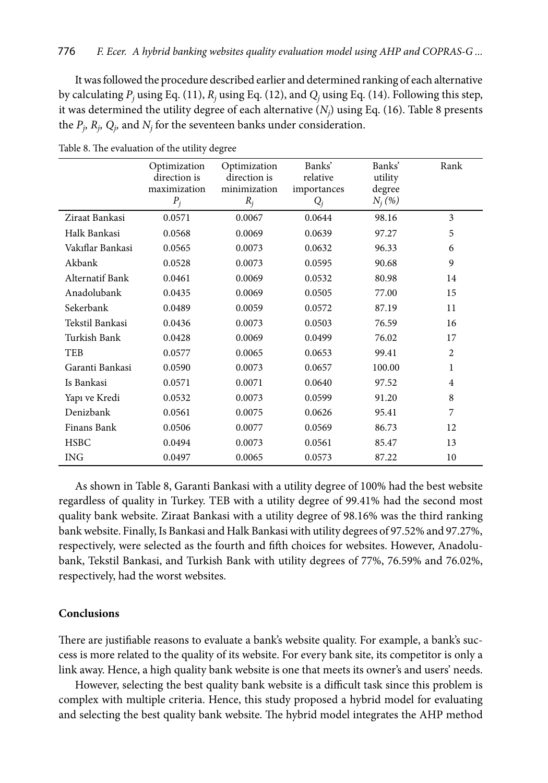It was followed the procedure described earlier and determined ranking of each alternative by calculating  $P_j$  using Eq. (11),  $R_j$  using Eq. (12), and  $Q_j$  using Eq. (14). Following this step, it was determined the utility degree of each alternative  $(N_j)$  using Eq. (16). Table 8 presents the  $P_j$ ,  $R_j$ ,  $Q_j$ , and  $N_j$  for the seventeen banks under consideration.

|                  | Optimization<br>direction is | Optimization<br>direction is | Banks'<br>relative | Banks'<br>utility | Rank           |
|------------------|------------------------------|------------------------------|--------------------|-------------------|----------------|
|                  | maximization                 | minimization                 | importances        | degree            |                |
|                  | $P_i$                        | $R_i$                        | $Q_i$              | $N_i$ (%)         |                |
| Ziraat Bankasi   | 0.0571                       | 0.0067                       | 0.0644             | 98.16             | 3              |
| Halk Bankasi     | 0.0568                       | 0.0069                       | 0.0639             | 97.27             | 5              |
| Vakıflar Bankasi | 0.0565                       | 0.0073                       | 0.0632             | 96.33             | 6              |
| Akbank           | 0.0528                       | 0.0073                       | 0.0595             | 90.68             | 9              |
| Alternatif Bank  | 0.0461                       | 0.0069                       | 0.0532             | 80.98             | 14             |
| Anadolubank      | 0.0435                       | 0.0069                       | 0.0505             | 77.00             | 15             |
| Sekerbank        | 0.0489                       | 0.0059                       | 0.0572             | 87.19             | 11             |
| Tekstil Bankasi  | 0.0436                       | 0.0073                       | 0.0503             | 76.59             | 16             |
| Turkish Bank     | 0.0428                       | 0.0069                       | 0.0499             | 76.02             | 17             |
| TEB              | 0.0577                       | 0.0065                       | 0.0653             | 99.41             | 2              |
| Garanti Bankasi  | 0.0590                       | 0.0073                       | 0.0657             | 100.00            | 1              |
| Is Bankasi       | 0.0571                       | 0.0071                       | 0.0640             | 97.52             | $\overline{4}$ |
| Yapı ve Kredi    | 0.0532                       | 0.0073                       | 0.0599             | 91.20             | 8              |
| Denizbank        | 0.0561                       | 0.0075                       | 0.0626             | 95.41             | 7              |
| Finans Bank      | 0.0506                       | 0.0077                       | 0.0569             | 86.73             | 12             |
| <b>HSBC</b>      | 0.0494                       | 0.0073                       | 0.0561             | 85.47             | 13             |
| <b>ING</b>       | 0.0497                       | 0.0065                       | 0.0573             | 87.22             | 10             |

Table 8. The evaluation of the utility degree

As shown in Table 8, Garanti Bankasi with a utility degree of 100% had the best website regardless of quality in Turkey. TEB with a utility degree of 99.41% had the second most quality bank website. Ziraat Bankasi with a utility degree of 98.16% was the third ranking bank website. Finally, Is Bankasi and Halk Bankasi with utility degrees of 97.52% and 97.27%, respectively, were selected as the fourth and fifth choices for websites. However, Anadolubank, Tekstil Bankasi, and Turkish Bank with utility degrees of 77%, 76.59% and 76.02%, respectively, had the worst websites.

#### **Conclusions**

There are justifiable reasons to evaluate a bank's website quality. For example, a bank's success is more related to the quality of its website. For every bank site, its competitor is only a link away. Hence, a high quality bank website is one that meets its owner's and users' needs.

However, selecting the best quality bank website is a difficult task since this problem is complex with multiple criteria. Hence, this study proposed a hybrid model for evaluating and selecting the best quality bank website. The hybrid model integrates the AHP method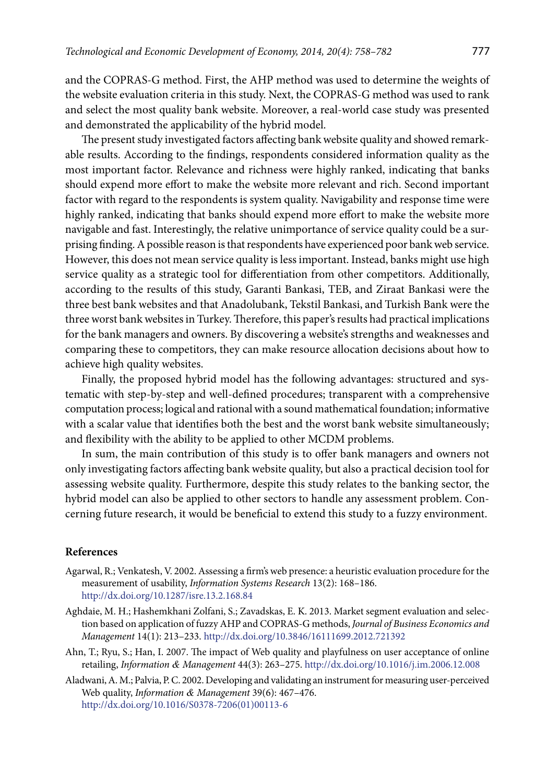and the COPRAS-G method. First, the AHP method was used to determine the weights of the website evaluation criteria in this study. Next, the COPRAS-G method was used to rank and select the most quality bank website. Moreover, a real-world case study was presented and demonstrated the applicability of the hybrid model.

The present study investigated factors affecting bank website quality and showed remarkable results. According to the findings, respondents considered information quality as the most important factor. Relevance and richness were highly ranked, indicating that banks should expend more effort to make the website more relevant and rich. Second important factor with regard to the respondents is system quality. Navigability and response time were highly ranked, indicating that banks should expend more effort to make the website more navigable and fast. Interestingly, the relative unimportance of service quality could be a surprising finding. A possible reason is that respondents have experienced poor bank web service. However, this does not mean service quality is less important. Instead, banks might use high service quality as a strategic tool for differentiation from other competitors. Additionally, according to the results of this study, Garanti Bankasi, TEB, and Ziraat Bankasi were the three best bank websites and that Anadolubank, Tekstil Bankasi, and Turkish Bank were the three worst bank websites in Turkey. Therefore, this paper's results had practical implications for the bank managers and owners. By discovering a website's strengths and weaknesses and comparing these to competitors, they can make resource allocation decisions about how to achieve high quality websites.

Finally, the proposed hybrid model has the following advantages: structured and systematic with step-by-step and well-defined procedures; transparent with a comprehensive computation process; logical and rational with a sound mathematical foundation; informative with a scalar value that identifies both the best and the worst bank website simultaneously; and flexibility with the ability to be applied to other MCDM problems.

In sum, the main contribution of this study is to offer bank managers and owners not only investigating factors affecting bank website quality, but also a practical decision tool for assessing website quality. Furthermore, despite this study relates to the banking sector, the hybrid model can also be applied to other sectors to handle any assessment problem. Concerning future research, it would be beneficial to extend this study to a fuzzy environment.

#### **References**

- Agarwal, R.; Venkatesh, V. 2002. Assessing a firm's web presence: a heuristic evaluation procedure for the measurement of usability, *Information Systems Research* 13(2): 168–186. <http://dx.doi.org/10.1287/isre.13.2.168.84>
- Aghdaie, M. H.; Hashemkhani Zolfani, S.; Zavadskas, E. K. 2013. Market segment evaluation and selection based on application of fuzzy AHP and COPRAS-G methods, *Journal of Business Economics and Management* 14(1): 213–233. [http://dx.doi.org/10.3846/16111699.2012.721392](http://dx.doi.org/ 10.3846/16111699.2012.721392)
- Ahn, T.; Ryu, S.; Han, I. 2007. The impact of Web quality and playfulness on user acceptance of online retailing, *Information & Management* 44(3): 263–275. [http://dx.doi.org/10.1016/j.im.2006.12.008](http://dx.doi.org/ 10.1016/j.im.2006.12.008)
- Aladwani, A. M.; Palvia, P. C. 2002. Developing and validating an instrument for measuring user-perceived Web quality, *Information & Management* 39(6): 467–476. http://dx.doi.org[/10.1016/S0378-7206\(01\)00113-6](http://dx.doi.org/10.1016/S0378-7206(01)00113-6)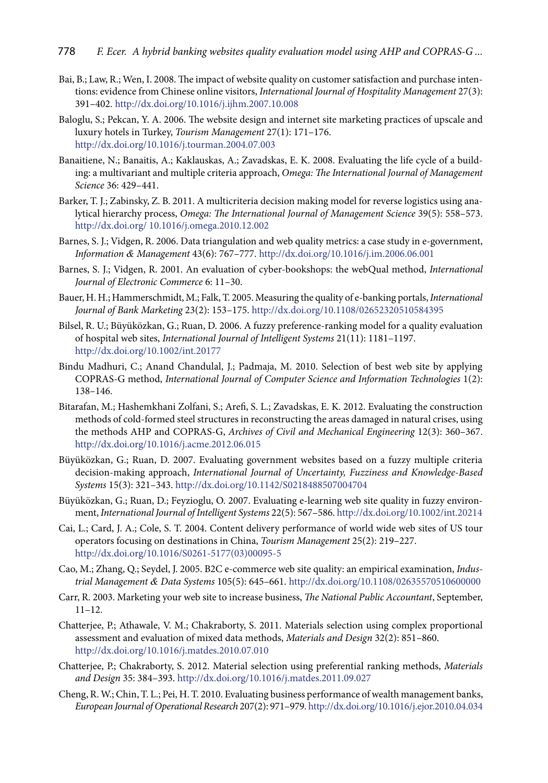- Bai, B.; Law, R.; Wen, I. 2008. The impact of website quality on customer satisfaction and purchase intentions: evidence from Chinese online visitors, *International Journal of Hospitality Management* 27(3): 391–402. [http://dx.doi.org/10.1016/j.ijhm.2007.10.008](http://dx.doi.org/ 10.1016/j.ijhm.2007.10.008)
- Baloglu, S.; Pekcan, Y. A. 2006. The website design and internet site marketing practices of upscale and luxury hotels in Turkey, *Tourism Management* 27(1): 171–176. [http://dx.doi.org/10.1016/j.tourman.2004.07.003]( http://dx.doi.org/ 10.1016/j.tourman.2004.07.003)
- Banaitiene, N.; Banaitis, A.; Kaklauskas, A.; Zavadskas, E. K. 2008. Evaluating the life cycle of a building: a multivariant and multiple criteria approach, *Omega: The International Journal of Management Science* 36: 429–441.
- Barker, T. J.; Zabinsky, Z. B. 2011. A multicriteria decision making model for reverse logistics using analytical hierarchy process, *Omega: The International Journal of Management Science* 39(5): 558–573. <http://dx.doi.org/ 10.1016/j.omega.2010.12.002>
- Barnes, S. J.; Vidgen, R. 2006. Data triangulation and web quality metrics: a case study in e-government, *Information & Management* 43(6): 767–777. [http://dx.doi.org/10.1016/j.im.2006.06.001](http://dx.doi.org/ 10.1016/j.im.2006.06.001)
- Barnes, S. J.; Vidgen, R. 2001. An evaluation of cyber-bookshops: the webQual method, *International Journal of Electronic Commerce* 6: 11–30.
- Bauer, H. H.; Hammerschmidt, M.; Falk, T. 2005. Measuring the quality of e-banking portals, *International Journal of Bank Marketing* 23(2): 153–175. [http://dx.doi.org/10.1108/02652320510584395](http://dx.doi.org/ 10.1108/02652320510584395)
- Bilsel, R. U.; Büyüközkan, G.; Ruan, D. 2006. A fuzzy preference-ranking model for a quality evaluation of hospital web sites, *International Journal of Intelligent Systems* 21(11): 1181–1197. [http://dx.doi.org/10.1002/int.20177](http://dx.doi.org/ 10.1002/int.20177)
- Bindu Madhuri, C.; Anand Chandulal, J.; Padmaja, M. 2010. Selection of best web site by applying COPRAS-G method, *International Journal of Computer Science and Information Technologies* 1(2): 138–146.
- Bitarafan, M.; Hashemkhani Zolfani, S.; Arefi, S. L.; Zavadskas, E. K. 2012. Evaluating the construction methods of cold-formed steel structures in reconstructing the areas damaged in natural crises, using the methods AHP and COPRAS-G, *Archives of Civil and Mechanical Engineering* 12(3): 360–367. <http://dx.doi.org/10.1016/j.acme.2012.06.015>
- Büyüközkan, G.; Ruan, D. 2007. Evaluating government websites based on a fuzzy multiple criteria decision-making approach, *International Journal of Uncertainty, Fuzziness and Knowledge-Based Systems* 15(3): 321–343.<http://dx.doi.org/10.1142/S0218488507004704>
- Büyüközkan, G.; Ruan, D.; Feyzioglu, O. 2007. Evaluating e-learning web site quality in fuzzy environment, *International Journal of Intelligent Systems* 22(5): 567–586. [http://dx.doi.org/10.1002/int.20214](http://dx.doi.org/ 10.1002/int.20214)
- Cai, L.; Card, J. A.; Cole, S. T. 2004. Content delivery performance of world wide web sites of US tour operators focusing on destinations in China, *Tourism Management* 25(2): 219–227. http://dx.doi.org/[10.1016/S0261-5177\(03\)00095-5](http://dx.doi.org/10.1016/S0261-5177(03)00095-5)
- Cao, M.; Zhang, Q.; Seydel, J. 2005. B2C e-commerce web site quality: an empirical examination, *Industrial Management & Data Systems* 105(5): 645–661.<http://dx.doi.org/10.1108/02635570510600000>
- Carr, R. 2003. Marketing your web site to increase business, *The National Public Accountant*, September, 11–12.
- Chatterjee, P.; Athawale, V. M.; Chakraborty, S. 2011. Materials selection using complex proportional assessment and evaluation of mixed data methods, *Materials and Design* 32(2): 851–860. <http://dx.doi.org/10.1016/j.matdes.2010.07.010>
- Chatterjee, P.; Chakraborty, S. 2012. Material selection using preferential ranking methods, *Materials and Design* 35: 384–393.<http://dx.doi.org/10.1016/j.matdes.2011.09.027>
- Cheng, R. W.; Chin, T. L.; Pei, H. T. 2010. Evaluating business performance of wealth management banks, *European Journal of Operational Research* 207(2): 971–979*.* [http://dx.doi.org/10.1016/j.ejor.2010.04.034](http://dx.doi.org/ 10.1016/j.ejor.2010.04.034)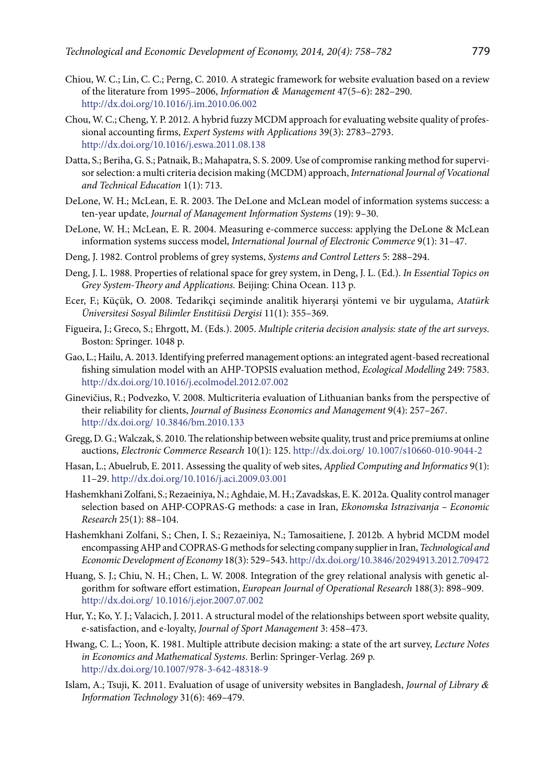- Chiou, W. C.; Lin, C. C.; Perng, C. 2010. A strategic framework for website evaluation based on a review of the literature from 1995–2006, *Information & Management* 47(5–6): 282–290. [http://dx.doi.org/10.1016/j.im.2010.06.002](http://dx.doi.org/ 10.1016/j.im.2010.06.002)
- Chou, W. C.; Cheng, Y. P. 2012. A hybrid fuzzy MCDM approach for evaluating website quality of professional accounting firms, *Expert Systems with Applications* 39(3): 2783–2793. <http://dx.doi.org/10.1016/j.eswa.2011.08.138>
- Datta, S.; Beriha, G. S.; Patnaik, B.; Mahapatra, S. S. 2009. Use of compromise ranking method for supervisor selection: a multi criteria decision making (MCDM) approach, *International Journal of Vocational and Technical Education* 1(1): 713.
- DeLone, W. H.; McLean, E. R. 2003. The DeLone and McLean model of information systems success: a ten-year update, *Journal of Management Information Systems* (19): 9–30.
- DeLone, W. H.; McLean, E. R. 2004. Measuring e-commerce success: applying the DeLone & McLean information systems success model, *International Journal of Electronic Commerce* 9(1): 31–47.
- Deng, J. 1982. Control problems of grey systems, *Systems and Control Letters* 5: 288–294.
- Deng, J. L. 1988. Properties of relational space for grey system, in Deng, J. L. (Ed.). *In Essential Topics on Grey System-Theory and Applications.* Beijing: China Ocean. 113 p.
- Ecer, F.; Küçük, O. 2008. Tedarikçi seçiminde analitik hiyerarşi yöntemi ve bir uygulama, *Atatürk Üniversitesi Sosyal Bilimler Enstitüsü Dergisi* 11(1): 355–369.
- Figueira, J.; Greco, S.; Ehrgott, M. (Eds.). 2005. *Multiple criteria decision analysis: state of the art surveys*. Boston: Springer. 1048 p.
- Gao, L.; Hailu, A. 2013. Identifying preferred management options: an integrated agent-based recreational fishing simulation model with an AHP-TOPSIS evaluation method, *Ecological Modelling* 249: 7583. <http://dx.doi.org/10.1016/j.ecolmodel.2012.07.002>
- Ginevičius, R.; Podvezko, V. 2008. Multicriteria evaluation of Lithuanian banks from the perspective of their reliability for clients, *Journal of Business Economics and Management* 9(4): 257–267. <http://dx.doi.org/ 10.3846/bm.2010.133>
- Gregg, D. G.; Walczak, S. 2010. The relationship between website quality, trust and price premiums at online auctions, *Electronic Commerce Research* 10(1): 125. <http://dx.doi.org/ 10.1007/s10660-010-9044-2>
- Hasan, L.; Abuelrub, E. 2011. Assessing the quality of web sites, *Applied Computing and Informatics* 9(1): 11–29. <http://dx.doi.org/10.1016/j.aci.2009.03.001>
- Hashemkhani Zolfani, S.; Rezaeiniya, N.; Aghdaie, M. H.; Zavadskas, E. K. 2012a. Quality control manager selection based on AHP-COPRAS-G methods: a case in Iran, *Ekonomska Istrazivanja – Economic Research* 25(1): 88–104.
- Hashemkhani Zolfani, S.; Chen, I. S.; Rezaeiniya, N.; Tamosaitiene, J. 2012b. A hybrid MCDM model encompassing AHP and COPRAS-G methods for selecting company supplier in Iran, *Technological and Economic Development of Economy* 18(3): 529–543. <http://dx.doi.org/10.3846/20294913.2012.709472>
- Huang, S. J.; Chiu, N. H.; Chen, L. W. 2008. Integration of the grey relational analysis with genetic algorithm for software effort estimation, *European Journal of Operational Research* 188(3): 898–909. <http://dx.doi.org/ 10.1016/j.ejor.2007.07.002>
- Hur, Y.; Ko, Y. J.; Valacich, J. 2011. A structural model of the relationships between sport website quality, e-satisfaction, and e-loyalty, *Journal of Sport Management* 3: 458–473.
- Hwang, C. L.; Yoon, K. 1981. Multiple attribute decision making: a state of the art survey, *Lecture Notes in Economics and Mathematical Systems*. Berlin: Springer-Verlag. 269 p. <http://dx.doi.org/10.1007/978-3-642-48318-9>
- Islam, A.; Tsuji, K. 2011. Evaluation of usage of university websites in Bangladesh, *Journal of Library & Information Technology* 31(6): 469–479.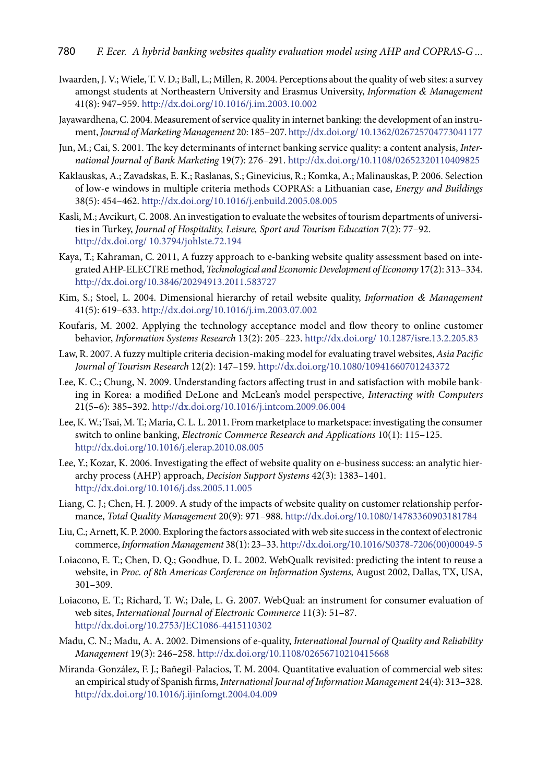- Iwaarden, J. V.; Wiele, T. V. D.; Ball, L.; Millen, R. 2004. Perceptions about the quality of web sites: a survey amongst students at Northeastern University and Erasmus University, *Information & Management*  41(8): 947–959. [http://dx.doi.org/10.1016/j.im.2003.10.002](http://dx.doi.org/ 10.1016/j.im.2003.10.002)
- Jayawardhena, C. 2004. Measurement of service quality in internet banking: the development of an instrument, *Journal of Marketing Management* 20: 185–207.<http://dx.doi.org/ 10.1362/026725704773041177>
- Jun, M.; Cai, S. 2001. The key determinants of internet banking service quality: a content analysis, *International Journal of Bank Marketing* 19(7): 276–291. [http://dx.doi.org/10.1108/02652320110409825](http://dx.doi.org/ 10.1108/02652320110409825)
- Kaklauskas, A.; Zavadskas, E. K.; Raslanas, S.; Ginevicius, R.; Komka, A.; Malinauskas, P. 2006. Selection of low-e windows in multiple criteria methods COPRAS: a Lithuanian case, *Energy and Buildings* 38(5): 454–462. [http://dx.doi.org/10.1016/j.enbuild.2005.08.005](http://dx.doi.org/ 10.1016/j.enbuild.2005.08.005)
- Kasli, M.; Avcikurt, C. 2008. An investigation to evaluate the websites of tourism departments of universities in Turkey, *Journal of Hospitality, Leisure, Sport and Tourism Education* 7(2): 77–92. http://dx.doi.org/ [10.3794/johlste.72.194](http://dx.doi.org/10.3794/johlste.72.194)
- Kaya, T.; Kahraman, C. 2011, A fuzzy approach to e-banking website quality assessment based on integrated AHP-ELECTRE method, *Technological and Economic Development of Economy* 17(2): 313–334. <http://dx.doi.org/10.3846/20294913.2011.583727>
- Kim, S.; Stoel, L. 2004. Dimensional hierarchy of retail website quality, *Information & Management*  41(5): 619–633. [http://dx.doi.org/10.1016/j.im.2003.07.002](http://dx.doi.org/ 10.1016/j.im.2003.07.002)
- Koufaris, M. 2002. Applying the technology acceptance model and flow theory to online customer behavior, *Information Systems Research* 13(2): 205–223. <http://dx.doi.org/ 10.1287/isre.13.2.205.83>
- Law, R. 2007. A fuzzy multiple criteria decision-making model for evaluating travel websites, *Asia Pacific Journal of Tourism Research* 12(2): 147–159.<http://dx.doi.org/10.1080/10941660701243372>
- Lee, K. C.; Chung, N. 2009. Understanding factors affecting trust in and satisfaction with mobile banking in Korea: a modified DeLone and McLean's model perspective, *Interacting with Computers*  21(5–6): 385–392. [http://dx.doi.org/10.1016/j.intcom.2009.06.004](http://dx.doi.org/ 10.1016/j.intcom.2009.06.004)
- Lee, K. W.; Tsai, M. T.; Maria, C. L. L. 2011. From marketplace to marketspace: investigating the consumer switch to online banking, *Electronic Commerce Research and Applications* 10(1): 115–125. <http://dx.doi.org/10.1016/j.elerap.2010.08.005>
- Lee, Y.; Kozar, K. 2006. Investigating the effect of website quality on e-business success: an analytic hierarchy process (AHP) approach, *Decision Support Systems* 42(3): 1383–1401. [http://dx.doi.org/10.1016/j.dss.2005.11.005](http://dx.doi.org/ 10.1016/j.dss.2005.11.005)
- Liang, C. J.; Chen, H. J. 2009. A study of the impacts of website quality on customer relationship performance, *Total Quality Management* 20(9): 971–988. <http://dx.doi.org/10.1080/14783360903181784>
- Liu, C.; Arnett, K. P. 2000. Exploring the factors associated with web site success in the context of electronic commerce, *Information Management* 38(1): 23–33. [http://dx.doi.org/10.1016/S0378-7206\(00\)00049-5](http://dx.doi.org/ 10.1016/S0378-7206(00)00049-5)
- Loiacono, E. T.; Chen, D. Q.; Goodhue, D. L. 2002. WebQualk revisited: predicting the intent to reuse a website, in *Proc. of 8th Americas Conference on Information Systems,* August 2002, Dallas, TX, USA, 301–309.
- Loiacono, E. T.; Richard, T. W.; Dale, L. G. 2007. WebQual: an instrument for consumer evaluation of web sites, *International Journal of Electronic Commerce* 11(3): 51–87. [http://dx.doi.org/10.2753/JEC1086-4415110302](http://dx.doi.org/ 10.2753/JEC1086-4415110302)
- Madu, C. N.; Madu, A. A. 2002. Dimensions of e-quality, *International Journal of Quality and Reliability Management* 19(3): 246–258. http://dx.doi.org/[10.1108/02656710210415668](http://dx.doi.org/10.1108/02656710210415668)
- Miranda-González, F. J.; Bañegil-Palacios, T. M. 2004. Quantitative evaluation of commercial web sites: an empirical study of Spanish firms, *International Journal of Information Management* 24(4): 313–328. <http://dx.doi.org/10.1016/j.ijinfomgt.2004.04.009>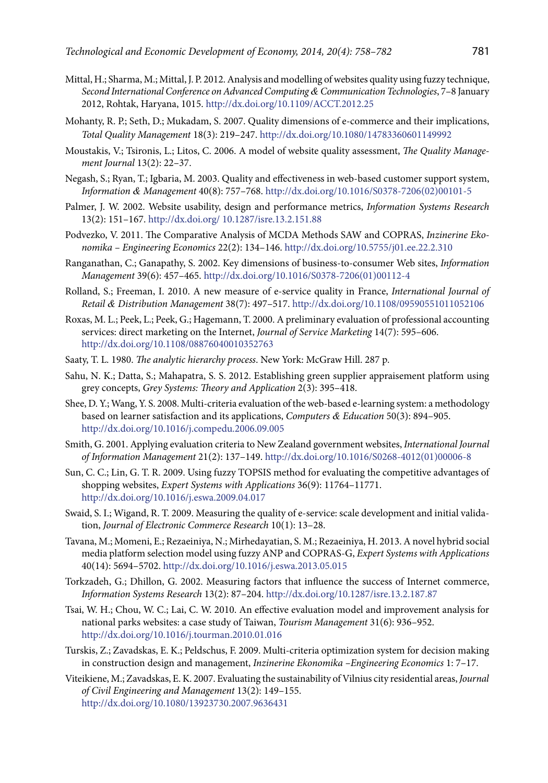- Mittal, H.; Sharma, M.; Mittal, J. P. 2012. Analysis and modelling of websites quality using fuzzy technique, *Second International Conference on Advanced Computing & Communication Technologies*, 7–8 January 2012, Rohtak, Haryana, 1015. [http://dx.doi.org/10.1109/ACCT.2012.25](http://dx.doi.org/ 10.1109/ACCT.2012.25)
- Mohanty, R. P.; Seth, D.; Mukadam, S. 2007. Quality dimensions of e-commerce and their implications, *Total Quality Management* 18(3): 219–247. <http://dx.doi.org/10.1080/14783360601149992>
- Moustakis, V.; Tsironis, L.; Litos, C. 2006. A model of website quality assessment, *The Quality Management Journal* 13(2): 22–37.
- Negash, S.; Ryan, T.; Igbaria, M. 2003. Quality and effectiveness in web-based customer support system, *Information & Management* 40(8): 757–768. [http://dx.doi.org/10.1016/S0378-7206\(02\)00101-5](http://dx.doi.org/ 10.1016/S0378-7206(02)00101-5)
- Palmer, J. W. 2002. Website usability, design and performance metrics, *Information Systems Research*  13(2): 151–167. <http://dx.doi.org/ 10.1287/isre.13.2.151.88>
- Podvezko, V. 2011. The Comparative Analysis of MCDA Methods SAW and COPRAS, *Inzinerine Ekonomika – Engineering Economics* 22(2): 134–146.<http://dx.doi.org/10.5755/j01.ee.22.2.310>
- Ranganathan, C.; Ganapathy, S. 2002. Key dimensions of business-to-consumer Web sites, *Information Management* 39(6): 457–465. [http://dx.doi.org/10.1016/S0378-7206\(01\)00112-4](http://dx.doi.org/ 10.1016/S0378-7206(01)00112-4)
- Rolland, S.; Freeman, I. 2010. A new measure of e-service quality in France, *International Journal of Retail & Distribution Management* 38(7): 497–517.<http://dx.doi.org/10.1108/09590551011052106>
- Roxas, M. L.; Peek, L.; Peek, G.; Hagemann, T. 2000. A preliminary evaluation of professional accounting services: direct marketing on the Internet, *Journal of Service Marketing* 14(7): 595–606. http://dx.doi.org[/10.1108/08876040010352763](http://dx.doi.org/10.1108/08876040010352763)
- Saaty, T. L. 1980. *The analytic hierarchy process*. New York: McGraw Hill. 287 p.
- Sahu, N. K.; Datta, S.; Mahapatra, S. S. 2012. Establishing green supplier appraisement platform using grey concepts, *Grey Systems: Theory and Application* 2(3): 395–418.
- Shee, D. Y.; Wang, Y. S. 2008. Multi-criteria evaluation of the web-based e-learning system: a methodology based on learner satisfaction and its applications, *Computers & Education* 50(3): 894–905. [http://dx.doi.org/10.1016/j.compedu.2006.09.005](http://dx.doi.org/ 10.1016/j.compedu.2006.09.005)
- Smith, G. 2001. Applying evaluation criteria to New Zealand government websites, *International Journal of Information Management* 21(2): 137–149. [http://dx.doi.org/10.1016/S0268-4012\(01\)00006-8](http://dx.doi.org/ 10.1016/S0268-4012(01)00006-8)
- Sun, C. C.; Lin, G. T. R. 2009. Using fuzzy TOPSIS method for evaluating the competitive advantages of shopping websites, *Expert Systems with Applications* 36(9): 11764–11771. [http://dx.doi.org/10.1016/j.eswa.2009.04.017](http://dx.doi.org/ 10.1016/j.eswa.2009.04.017)
- Swaid, S. I.; Wigand, R. T. 2009. Measuring the quality of e-service: scale development and initial validation, *Journal of Electronic Commerce Research* 10(1): 13–28.
- Tavana, M.; Momeni, E.; Rezaeiniya, N.; Mirhedayatian, S. M.; Rezaeiniya, H. 2013. A novel hybrid social media platform selection model using fuzzy ANP and COPRAS-G, *Expert Systems with Applications* 40(14): 5694–5702. <http://dx.doi.org/10.1016/j.eswa.2013.05.015>
- Torkzadeh, G.; Dhillon, G. 2002. Measuring factors that influence the success of Internet commerce, *Information Systems Research* 13(2): 87–204. [http://dx.doi.org/10.1287/isre.13.2.187.87](http://dx.doi.org/ 10.1287/isre.13.2.187.87)
- Tsai, W. H.; Chou, W. C.; Lai, C. W. 2010. An effective evaluation model and improvement analysis for national parks websites: a case study of Taiwan, *Tourism Management* 31(6): 936–952. <http://dx.doi.org/10.1016/j.tourman.2010.01.016>
- Turskis, Z.; Zavadskas, E. K.; Peldschus, F. 2009. Multi-criteria optimization system for decision making in construction design and management, *Inzinerine Ekonomika –Engineering Economics* 1: 7–17.
- Viteikiene, M.; Zavadskas, E. K. 2007. Evaluating the sustainability of Vilnius city residential areas, *Journal of Civil Engineering and Management* 13(2): 149–155. [http://dx.doi.org/10.1080/13923730.2007.9636431](http://dx.doi.org/ 10.1080/13923730.2007.9636431)